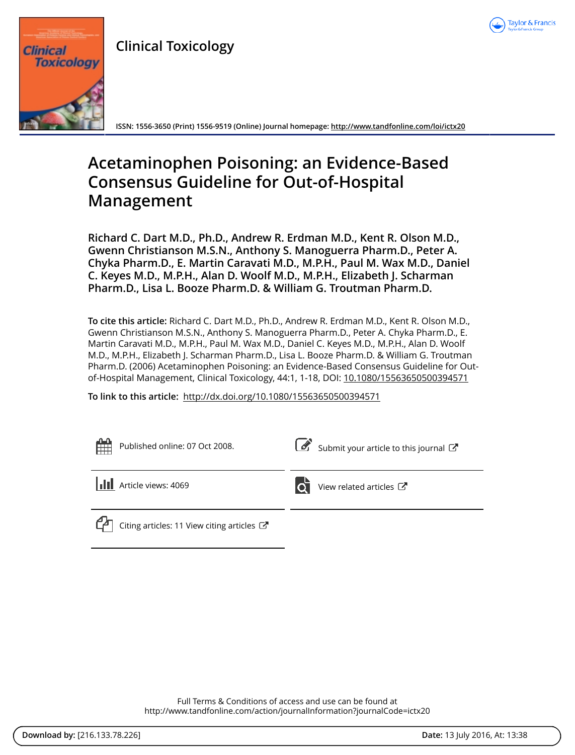

**Clinical Toxicology**



**ISSN: 1556-3650 (Print) 1556-9519 (Online) Journal homepage:<http://www.tandfonline.com/loi/ictx20>**

# **Acetaminophen Poisoning: an Evidence-Based Consensus Guideline for Out-of-Hospital Management**

**Richard C. Dart M.D., Ph.D., Andrew R. Erdman M.D., Kent R. Olson M.D., Gwenn Christianson M.S.N., Anthony S. Manoguerra Pharm.D., Peter A. Chyka Pharm.D., E. Martin Caravati M.D., M.P.H., Paul M. Wax M.D., Daniel C. Keyes M.D., M.P.H., Alan D. Woolf M.D., M.P.H., Elizabeth J. Scharman Pharm.D., Lisa L. Booze Pharm.D. & William G. Troutman Pharm.D.**

**To cite this article:** Richard C. Dart M.D., Ph.D., Andrew R. Erdman M.D., Kent R. Olson M.D., Gwenn Christianson M.S.N., Anthony S. Manoguerra Pharm.D., Peter A. Chyka Pharm.D., E. Martin Caravati M.D., M.P.H., Paul M. Wax M.D., Daniel C. Keyes M.D., M.P.H., Alan D. Woolf M.D., M.P.H., Elizabeth J. Scharman Pharm.D., Lisa L. Booze Pharm.D. & William G. Troutman Pharm.D. (2006) Acetaminophen Poisoning: an Evidence-Based Consensus Guideline for Outof-Hospital Management, Clinical Toxicology, 44:1, 1-18, DOI: [10.1080/15563650500394571](http://www.tandfonline.com/action/showCitFormats?doi=10.1080/15563650500394571)

**To link to this article:** <http://dx.doi.org/10.1080/15563650500394571>

| 鱛<br>Published online: 07 Oct 2008.                                   | Submit your article to this journal                             |
|-----------------------------------------------------------------------|-----------------------------------------------------------------|
| <b>III</b> Article views: 4069                                        | $\overrightarrow{O}$ View related articles $\overrightarrow{C}$ |
| ሮላ<br>Citing articles: 11 View citing articles $\mathbb{Z}^{\bullet}$ |                                                                 |

Full Terms & Conditions of access and use can be found at <http://www.tandfonline.com/action/journalInformation?journalCode=ictx20>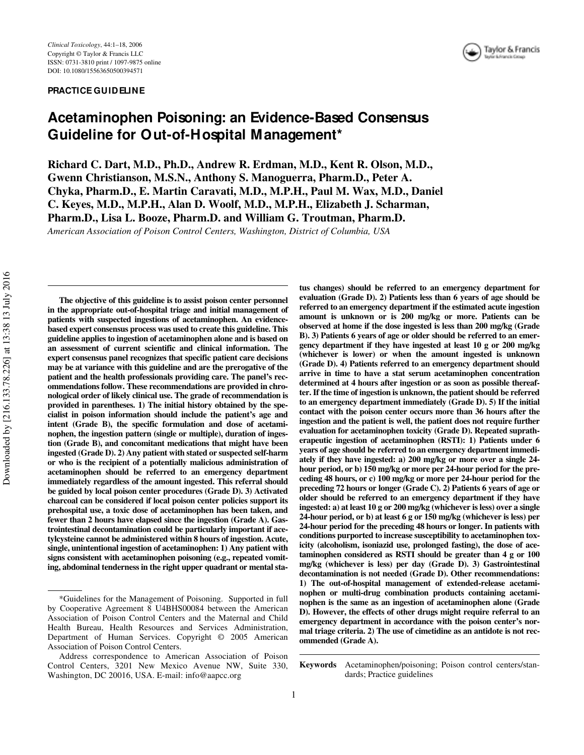#### **PRACTICE GUIDELINE**



# **Acetaminophen Poisoning: an Evidence-Based Consensus Guideline for Out-of-Hospital Management\***

Richard C. Dart, M.D., Ph.D., Andrew R. Erdman, M.D., Kent R. Olson, M.D., **Gwenn Christianson, M.S.N., Anthony S. Manoguerra, Pharm.D., Peter A. Chyka, Pharm.D., E. Martin Caravati, M.D., M.P.H., Paul M. Wax, M.D., Daniel C. Keyes, M.D., M.P.H., Alan D. Woolf, M.D., M.P.H., Elizabeth J. Scharman, Pharm.D., Lisa L. Booze, Pharm.D. and William G. Troutman, Pharm.D.** *American Association of Poison Control Centers, Washington, District of Columbia, USA*

**The objective of this guideline is to assist poison center personnel in the appropriate out-of-hospital triage and initial management of patients with suspected ingestions of acetaminophen. An evidencebased expert consensus process was used to create this guideline. This guideline applies to ingestion of acetaminophen alone and is based on an assessment of current scientific and clinical information. The expert consensus panel recognizes that specific patient care decisions may be at variance with this guideline and are the prerogative of the patient and the health professionals providing care. The panel's recommendations follow. These recommendations are provided in chronological order of likely clinical use. The grade of recommendation is provided in parentheses. 1) The initial history obtained by the specialist in poison information should include the patient's age and intent (Grade B), the specific formulation and dose of acetaminophen, the ingestion pattern (single or multiple), duration of ingestion (Grade B), and concomitant medications that might have been ingested (Grade D). 2) Any patient with stated or suspected self-harm or who is the recipient of a potentially malicious administration of acetaminophen should be referred to an emergency department immediately regardless of the amount ingested. This referral should be guided by local poison center procedures (Grade D). 3) Activated charcoal can be considered if local poison center policies support its prehospital use, a toxic dose of acetaminophen has been taken, and fewer than 2 hours have elapsed since the ingestion (Grade A). Gastrointestinal decontamination could be particularly important if acetylcysteine cannot be administered within 8 hours of ingestion. Acute, single, unintentional ingestion of acetaminophen: 1) Any patient with signs consistent with acetaminophen poisoning (e.g., repeated vomiting, abdominal tenderness in the right upper quadrant or mental sta-**

**tus changes) should be referred to an emergency department for evaluation (Grade D). 2) Patients less than 6 years of age should be referred to an emergency department if the estimated acute ingestion amount is unknown or is 200 mg/kg or more. Patients can be observed at home if the dose ingested is less than 200 mg/kg (Grade B). 3) Patients 6 years of age or older should be referred to an emergency department if they have ingested at least 10 g or 200 mg/kg (whichever is lower) or when the amount ingested is unknown (Grade D). 4) Patients referred to an emergency department should arrive in time to have a stat serum acetaminophen concentration determined at 4 hours after ingestion or as soon as possible thereafter. If the time of ingestion is unknown, the patient should be referred to an emergency department immediately (Grade D). 5) If the initial contact with the poison center occurs more than 36 hours after the ingestion and the patient is well, the patient does not require further evaluation for acetaminophen toxicity (Grade D). Repeated supratherapeutic ingestion of acetaminophen (RSTI): 1) Patients under 6 years of age should be referred to an emergency department immediately if they have ingested: a) 200 mg/kg or more over a single 24 hour period, or b) 150 mg/kg or more per 24-hour period for the preceding 48 hours, or c) 100 mg/kg or more per 24-hour period for the preceding 72 hours or longer (Grade C). 2) Patients 6 years of age or older should be referred to an emergency department if they have ingested: a) at least 10 g or 200 mg/kg (whichever is less) over a single 24-hour period, or b) at least 6 g or 150 mg/kg (whichever is less) per 24-hour period for the preceding 48 hours or longer. In patients with conditions purported to increase susceptibility to acetaminophen toxicity (alcoholism, isoniazid use, prolonged fasting), the dose of acetaminophen considered as RSTI should be greater than 4 g or 100 mg/kg (whichever is less) per day (Grade D). 3) Gastrointestinal decontamination is not needed (Grade D). Other recommendations: 1) The out-of-hospital management of extended-release acetaminophen or multi-drug combination products containing acetaminophen is the same as an ingestion of acetaminophen alone (Grade D). However, the effects of other drugs might require referral to an emergency department in accordance with the poison center's normal triage criteria. 2) The use of cimetidine as an antidote is not recommended (Grade A).**

**Keywords** Acetaminophen/poisoning; Poison control centers/standards; Practice guidelines

<sup>\*</sup>Guidelines for the Management of Poisoning. Supported in full by Cooperative Agreement 8 U4BHS00084 between the American Association of Poison Control Centers and the Maternal and Child Health Bureau, Health Resources and Services Administration, Department of Human Services. Copyright © 2005 American Association of Poison Control Centers.

Address correspondence to American Association of Poison Control Centers, 3201 New Mexico Avenue NW, Suite 330, Washington, DC 20016, USA. E-mail: info@aapcc.org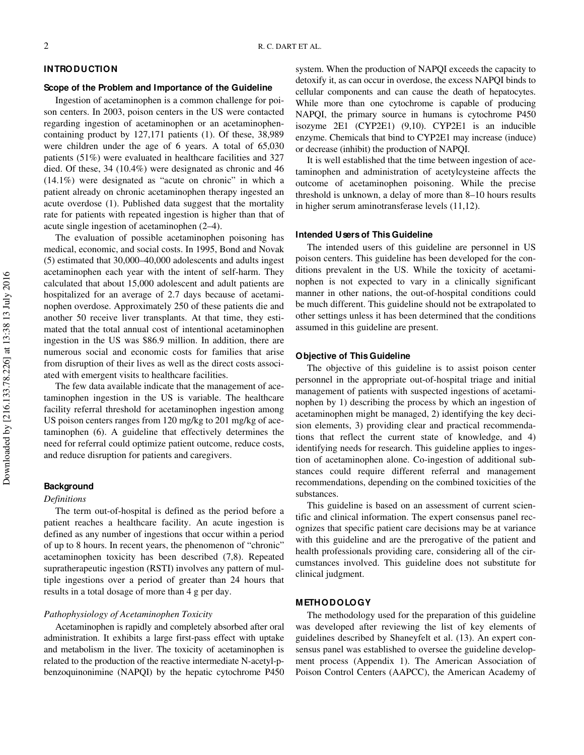#### **INTRODUCTION**

#### **Scope of the Problem and Importance of the Guideline**

Ingestion of acetaminophen is a common challenge for poison centers. In 2003, poison centers in the US were contacted regarding ingestion of acetaminophen or an acetaminophencontaining product by 127,171 patients (1). Of these, 38,989 were children under the age of 6 years. A total of 65,030 patients (51%) were evaluated in healthcare facilities and 327 died. Of these, 34 (10.4%) were designated as chronic and 46 (14.1%) were designated as "acute on chronic" in which a patient already on chronic acetaminophen therapy ingested an acute overdose (1). Published data suggest that the mortality rate for patients with repeated ingestion is higher than that of acute single ingestion of acetaminophen (2–4).

The evaluation of possible acetaminophen poisoning has medical, economic, and social costs. In 1995, Bond and Novak (5) estimated that 30,000–40,000 adolescents and adults ingest acetaminophen each year with the intent of self-harm. They calculated that about 15,000 adolescent and adult patients are hospitalized for an average of 2.7 days because of acetaminophen overdose. Approximately 250 of these patients die and another 50 receive liver transplants. At that time, they estimated that the total annual cost of intentional acetaminophen ingestion in the US was \$86.9 million. In addition, there are numerous social and economic costs for families that arise from disruption of their lives as well as the direct costs associated with emergent visits to healthcare facilities.

The few data available indicate that the management of acetaminophen ingestion in the US is variable. The healthcare facility referral threshold for acetaminophen ingestion among US poison centers ranges from 120 mg/kg to 201 mg/kg of acetaminophen (6). A guideline that effectively determines the need for referral could optimize patient outcome, reduce costs, and reduce disruption for patients and caregivers.

#### **Background**

#### *Definitions*

The term out-of-hospital is defined as the period before a patient reaches a healthcare facility. An acute ingestion is defined as any number of ingestions that occur within a period of up to 8 hours. In recent years, the phenomenon of "chronic" acetaminophen toxicity has been described (7,8). Repeated supratherapeutic ingestion (RSTI) involves any pattern of multiple ingestions over a period of greater than 24 hours that results in a total dosage of more than 4 g per day.

# *Pathophysiology of Acetaminophen Toxicity*

Acetaminophen is rapidly and completely absorbed after oral administration. It exhibits a large first-pass effect with uptake and metabolism in the liver. The toxicity of acetaminophen is related to the production of the reactive intermediate N-acetyl-pbenzoquinonimine (NAPQI) by the hepatic cytochrome P450

system. When the production of NAPQI exceeds the capacity to detoxify it, as can occur in overdose, the excess NAPQI binds to cellular components and can cause the death of hepatocytes. While more than one cytochrome is capable of producing NAPQI, the primary source in humans is cytochrome P450 isozyme 2E1 (CYP2E1) (9,10). CYP2E1 is an inducible enzyme. Chemicals that bind to CYP2E1 may increase (induce) or decrease (inhibit) the production of NAPQI.

It is well established that the time between ingestion of acetaminophen and administration of acetylcysteine affects the outcome of acetaminophen poisoning. While the precise threshold is unknown, a delay of more than 8–10 hours results in higher serum aminotransferase levels (11,12).

# **Intended Users of This Guideline**

The intended users of this guideline are personnel in US poison centers. This guideline has been developed for the conditions prevalent in the US. While the toxicity of acetaminophen is not expected to vary in a clinically significant manner in other nations, the out-of-hospital conditions could be much different. This guideline should not be extrapolated to other settings unless it has been determined that the conditions assumed in this guideline are present.

#### **Objective of This Guideline**

The objective of this guideline is to assist poison center personnel in the appropriate out-of-hospital triage and initial management of patients with suspected ingestions of acetaminophen by 1) describing the process by which an ingestion of acetaminophen might be managed, 2) identifying the key decision elements, 3) providing clear and practical recommendations that reflect the current state of knowledge, and 4) identifying needs for research. This guideline applies to ingestion of acetaminophen alone. Co-ingestion of additional substances could require different referral and management recommendations, depending on the combined toxicities of the substances.

This guideline is based on an assessment of current scientific and clinical information. The expert consensus panel recognizes that specific patient care decisions may be at variance with this guideline and are the prerogative of the patient and health professionals providing care, considering all of the circumstances involved. This guideline does not substitute for clinical judgment.

# **METHODOLOGY**

The methodology used for the preparation of this guideline was developed after reviewing the list of key elements of guidelines described by Shaneyfelt et al. (13). An expert consensus panel was established to oversee the guideline development process (Appendix 1). The American Association of Poison Control Centers (AAPCC), the American Academy of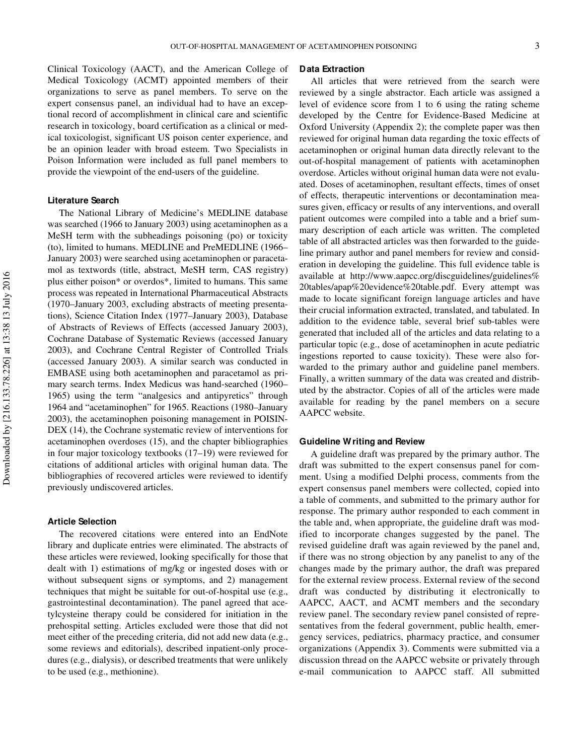Clinical Toxicology (AACT), and the American College of Medical Toxicology (ACMT) appointed members of their organizations to serve as panel members. To serve on the expert consensus panel, an individual had to have an exceptional record of accomplishment in clinical care and scientific research in toxicology, board certification as a clinical or medical toxicologist, significant US poison center experience, and be an opinion leader with broad esteem. Two Specialists in Poison Information were included as full panel members to provide the viewpoint of the end-users of the guideline.

#### **Literature Search**

The National Library of Medicine's MEDLINE database was searched (1966 to January 2003) using acetaminophen as a MeSH term with the subheadings poisoning (po) or toxicity (to), limited to humans. MEDLINE and PreMEDLINE (1966– January 2003) were searched using acetaminophen or paracetamol as textwords (title, abstract, MeSH term, CAS registry) plus either poison\* or overdos\*, limited to humans. This same process was repeated in International Pharmaceutical Abstracts (1970–January 2003, excluding abstracts of meeting presentations), Science Citation Index (1977–January 2003), Database of Abstracts of Reviews of Effects (accessed January 2003), Cochrane Database of Systematic Reviews (accessed January 2003), and Cochrane Central Register of Controlled Trials (accessed January 2003). A similar search was conducted in EMBASE using both acetaminophen and paracetamol as primary search terms. Index Medicus was hand-searched (1960– 1965) using the term "analgesics and antipyretics" through 1964 and "acetaminophen" for 1965. Reactions (1980–January 2003), the acetaminophen poisoning management in POISIN-DEX (14), the Cochrane systematic review of interventions for acetaminophen overdoses (15), and the chapter bibliographies in four major toxicology textbooks (17–19) were reviewed for citations of additional articles with original human data. The bibliographies of recovered articles were reviewed to identify previously undiscovered articles.

#### **Article Selection**

The recovered citations were entered into an EndNote library and duplicate entries were eliminated. The abstracts of these articles were reviewed, looking specifically for those that dealt with 1) estimations of mg/kg or ingested doses with or without subsequent signs or symptoms, and 2) management techniques that might be suitable for out-of-hospital use (e.g., gastrointestinal decontamination). The panel agreed that acetylcysteine therapy could be considered for initiation in the prehospital setting. Articles excluded were those that did not meet either of the preceding criteria, did not add new data (e.g., some reviews and editorials), described inpatient-only procedures (e.g., dialysis), or described treatments that were unlikely to be used (e.g., methionine).

### **Data Extraction**

All articles that were retrieved from the search were reviewed by a single abstractor. Each article was assigned a level of evidence score from 1 to 6 using the rating scheme developed by the Centre for Evidence-Based Medicine at Oxford University (Appendix 2); the complete paper was then reviewed for original human data regarding the toxic effects of acetaminophen or original human data directly relevant to the out-of-hospital management of patients with acetaminophen overdose. Articles without original human data were not evaluated. Doses of acetaminophen, resultant effects, times of onset of effects, therapeutic interventions or decontamination measures given, efficacy or results of any interventions, and overall patient outcomes were compiled into a table and a brief summary description of each article was written. The completed table of all abstracted articles was then forwarded to the guideline primary author and panel members for review and consideration in developing the guideline. This full evidence table is available at http://www.aapcc.org/discguidelines/guidelines% 20tables/apap%20evidence%20table.pdf. Every attempt was made to locate significant foreign language articles and have their crucial information extracted, translated, and tabulated. In addition to the evidence table, several brief sub-tables were generated that included all of the articles and data relating to a particular topic (e.g., dose of acetaminophen in acute pediatric ingestions reported to cause toxicity). These were also forwarded to the primary author and guideline panel members. Finally, a written summary of the data was created and distributed by the abstractor. Copies of all of the articles were made available for reading by the panel members on a secure AAPCC website.

#### **Guideline Writing and Review**

A guideline draft was prepared by the primary author. The draft was submitted to the expert consensus panel for comment. Using a modified Delphi process, comments from the expert consensus panel members were collected, copied into a table of comments, and submitted to the primary author for response. The primary author responded to each comment in the table and, when appropriate, the guideline draft was modified to incorporate changes suggested by the panel. The revised guideline draft was again reviewed by the panel and, if there was no strong objection by any panelist to any of the changes made by the primary author, the draft was prepared for the external review process. External review of the second draft was conducted by distributing it electronically to AAPCC, AACT, and ACMT members and the secondary review panel. The secondary review panel consisted of representatives from the federal government, public health, emergency services, pediatrics, pharmacy practice, and consumer organizations (Appendix 3). Comments were submitted via a discussion thread on the AAPCC website or privately through e-mail communication to AAPCC staff. All submitted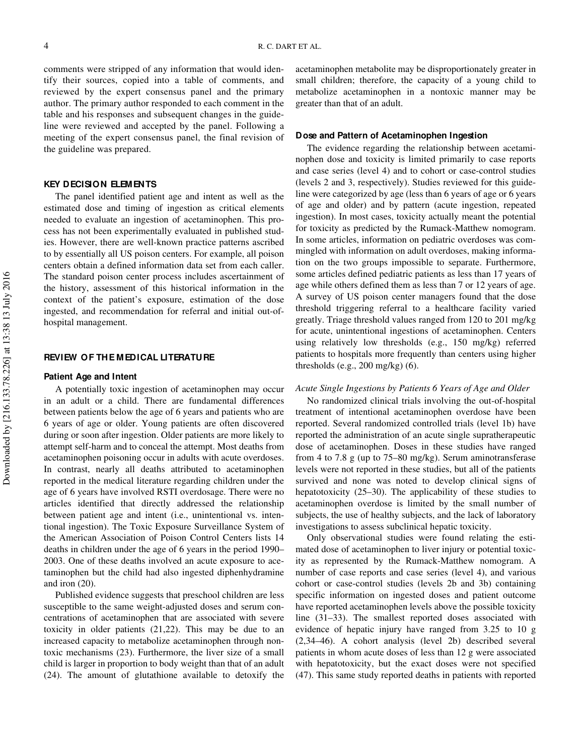comments were stripped of any information that would identify their sources, copied into a table of comments, and reviewed by the expert consensus panel and the primary author. The primary author responded to each comment in the table and his responses and subsequent changes in the guideline were reviewed and accepted by the panel. Following a meeting of the expert consensus panel, the final revision of the guideline was prepared.

#### **KEY DECISION ELEMENTS**

The panel identified patient age and intent as well as the estimated dose and timing of ingestion as critical elements needed to evaluate an ingestion of acetaminophen. This process has not been experimentally evaluated in published studies. However, there are well-known practice patterns ascribed to by essentially all US poison centers. For example, all poison centers obtain a defined information data set from each caller. The standard poison center process includes ascertainment of the history, assessment of this historical information in the context of the patient's exposure, estimation of the dose ingested, and recommendation for referral and initial out-ofhospital management.

### **REVIEW OF THE MEDICAL LITERATURE**

#### **Patient Age and Intent**

A potentially toxic ingestion of acetaminophen may occur in an adult or a child. There are fundamental differences between patients below the age of 6 years and patients who are 6 years of age or older. Young patients are often discovered during or soon after ingestion. Older patients are more likely to attempt self-harm and to conceal the attempt. Most deaths from acetaminophen poisoning occur in adults with acute overdoses. In contrast, nearly all deaths attributed to acetaminophen reported in the medical literature regarding children under the age of 6 years have involved RSTI overdosage. There were no articles identified that directly addressed the relationship between patient age and intent (i.e., unintentional vs. intentional ingestion). The Toxic Exposure Surveillance System of the American Association of Poison Control Centers lists 14 deaths in children under the age of 6 years in the period 1990– 2003. One of these deaths involved an acute exposure to acetaminophen but the child had also ingested diphenhydramine and iron (20).

Published evidence suggests that preschool children are less susceptible to the same weight-adjusted doses and serum concentrations of acetaminophen that are associated with severe toxicity in older patients (21,22). This may be due to an increased capacity to metabolize acetaminophen through nontoxic mechanisms (23). Furthermore, the liver size of a small child is larger in proportion to body weight than that of an adult (24). The amount of glutathione available to detoxify the

acetaminophen metabolite may be disproportionately greater in small children; therefore, the capacity of a young child to metabolize acetaminophen in a nontoxic manner may be greater than that of an adult.

#### **Dose and Pattern of Acetaminophen Ingestion**

The evidence regarding the relationship between acetaminophen dose and toxicity is limited primarily to case reports and case series (level 4) and to cohort or case-control studies (levels 2 and 3, respectively). Studies reviewed for this guideline were categorized by age (less than 6 years of age or 6 years of age and older) and by pattern (acute ingestion, repeated ingestion). In most cases, toxicity actually meant the potential for toxicity as predicted by the Rumack-Matthew nomogram. In some articles, information on pediatric overdoses was commingled with information on adult overdoses, making information on the two groups impossible to separate. Furthermore, some articles defined pediatric patients as less than 17 years of age while others defined them as less than 7 or 12 years of age. A survey of US poison center managers found that the dose threshold triggering referral to a healthcare facility varied greatly. Triage threshold values ranged from 120 to 201 mg/kg for acute, unintentional ingestions of acetaminophen. Centers using relatively low thresholds (e.g., 150 mg/kg) referred patients to hospitals more frequently than centers using higher thresholds (e.g., 200 mg/kg) (6).

### *Acute Single Ingestions by Patients 6 Years of Age and Older*

No randomized clinical trials involving the out-of-hospital treatment of intentional acetaminophen overdose have been reported. Several randomized controlled trials (level 1b) have reported the administration of an acute single supratherapeutic dose of acetaminophen. Doses in these studies have ranged from 4 to 7.8 g (up to 75–80 mg/kg). Serum aminotransferase levels were not reported in these studies, but all of the patients survived and none was noted to develop clinical signs of hepatotoxicity (25–30). The applicability of these studies to acetaminophen overdose is limited by the small number of subjects, the use of healthy subjects, and the lack of laboratory investigations to assess subclinical hepatic toxicity.

Only observational studies were found relating the estimated dose of acetaminophen to liver injury or potential toxicity as represented by the Rumack-Matthew nomogram. A number of case reports and case series (level 4), and various cohort or case-control studies (levels 2b and 3b) containing specific information on ingested doses and patient outcome have reported acetaminophen levels above the possible toxicity line (31–33). The smallest reported doses associated with evidence of hepatic injury have ranged from 3.25 to 10 g (2,34–46). A cohort analysis (level 2b) described several patients in whom acute doses of less than 12 g were associated with hepatotoxicity, but the exact doses were not specified (47). This same study reported deaths in patients with reported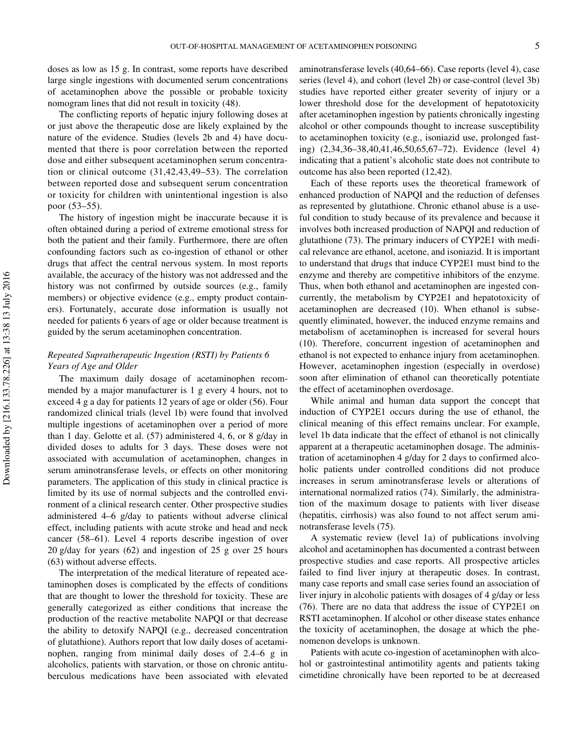doses as low as 15 g. In contrast, some reports have described large single ingestions with documented serum concentrations of acetaminophen above the possible or probable toxicity nomogram lines that did not result in toxicity (48).

The conflicting reports of hepatic injury following doses at or just above the therapeutic dose are likely explained by the nature of the evidence. Studies (levels 2b and 4) have documented that there is poor correlation between the reported dose and either subsequent acetaminophen serum concentration or clinical outcome (31,42,43,49–53). The correlation between reported dose and subsequent serum concentration or toxicity for children with unintentional ingestion is also poor (53–55).

The history of ingestion might be inaccurate because it is often obtained during a period of extreme emotional stress for both the patient and their family. Furthermore, there are often confounding factors such as co-ingestion of ethanol or other drugs that affect the central nervous system. In most reports available, the accuracy of the history was not addressed and the history was not confirmed by outside sources (e.g., family members) or objective evidence (e.g., empty product containers). Fortunately, accurate dose information is usually not needed for patients 6 years of age or older because treatment is guided by the serum acetaminophen concentration.

# *Repeated Supratherapeutic Ingestion (RSTI) by Patients 6 Years of Age and Older*

The maximum daily dosage of acetaminophen recommended by a major manufacturer is 1 g every 4 hours, not to exceed 4 g a day for patients 12 years of age or older (56). Four randomized clinical trials (level 1b) were found that involved multiple ingestions of acetaminophen over a period of more than 1 day. Gelotte et al. (57) administered 4, 6, or 8 g/day in divided doses to adults for 3 days. These doses were not associated with accumulation of acetaminophen, changes in serum aminotransferase levels, or effects on other monitoring parameters. The application of this study in clinical practice is limited by its use of normal subjects and the controlled environment of a clinical research center. Other prospective studies administered 4–6 g/day to patients without adverse clinical effect, including patients with acute stroke and head and neck cancer (58–61). Level 4 reports describe ingestion of over 20 g/day for years (62) and ingestion of 25 g over 25 hours (63) without adverse effects.

The interpretation of the medical literature of repeated acetaminophen doses is complicated by the effects of conditions that are thought to lower the threshold for toxicity. These are generally categorized as either conditions that increase the production of the reactive metabolite NAPQI or that decrease the ability to detoxify NAPQI (e.g., decreased concentration of glutathione). Authors report that low daily doses of acetaminophen, ranging from minimal daily doses of 2.4–6 g in alcoholics, patients with starvation, or those on chronic antituberculous medications have been associated with elevated

aminotransferase levels (40,64–66). Case reports (level 4), case series (level 4), and cohort (level 2b) or case-control (level 3b) studies have reported either greater severity of injury or a lower threshold dose for the development of hepatotoxicity after acetaminophen ingestion by patients chronically ingesting alcohol or other compounds thought to increase susceptibility to acetaminophen toxicity (e.g., isoniazid use, prolonged fasting) (2,34,36–38,40,41,46,50,65,67–72). Evidence (level 4) indicating that a patient's alcoholic state does not contribute to outcome has also been reported (12,42).

Each of these reports uses the theoretical framework of enhanced production of NAPQI and the reduction of defenses as represented by glutathione. Chronic ethanol abuse is a useful condition to study because of its prevalence and because it involves both increased production of NAPQI and reduction of glutathione (73). The primary inducers of CYP2E1 with medical relevance are ethanol, acetone, and isoniazid. It is important to understand that drugs that induce CYP2E1 must bind to the enzyme and thereby are competitive inhibitors of the enzyme. Thus, when both ethanol and acetaminophen are ingested concurrently, the metabolism by CYP2E1 and hepatotoxicity of acetaminophen are decreased (10). When ethanol is subsequently eliminated, however, the induced enzyme remains and metabolism of acetaminophen is increased for several hours (10). Therefore, concurrent ingestion of acetaminophen and ethanol is not expected to enhance injury from acetaminophen. However, acetaminophen ingestion (especially in overdose) soon after elimination of ethanol can theoretically potentiate the effect of acetaminophen overdosage.

While animal and human data support the concept that induction of CYP2E1 occurs during the use of ethanol, the clinical meaning of this effect remains unclear. For example, level 1b data indicate that the effect of ethanol is not clinically apparent at a therapeutic acetaminophen dosage. The administration of acetaminophen 4 g/day for 2 days to confirmed alcoholic patients under controlled conditions did not produce increases in serum aminotransferase levels or alterations of international normalized ratios (74). Similarly, the administration of the maximum dosage to patients with liver disease (hepatitis, cirrhosis) was also found to not affect serum aminotransferase levels (75).

A systematic review (level 1a) of publications involving alcohol and acetaminophen has documented a contrast between prospective studies and case reports. All prospective articles failed to find liver injury at therapeutic doses. In contrast, many case reports and small case series found an association of liver injury in alcoholic patients with dosages of 4 g/day or less (76). There are no data that address the issue of CYP2E1 on RSTI acetaminophen. If alcohol or other disease states enhance the toxicity of acetaminophen, the dosage at which the phenomenon develops is unknown.

Patients with acute co-ingestion of acetaminophen with alcohol or gastrointestinal antimotility agents and patients taking cimetidine chronically have been reported to be at decreased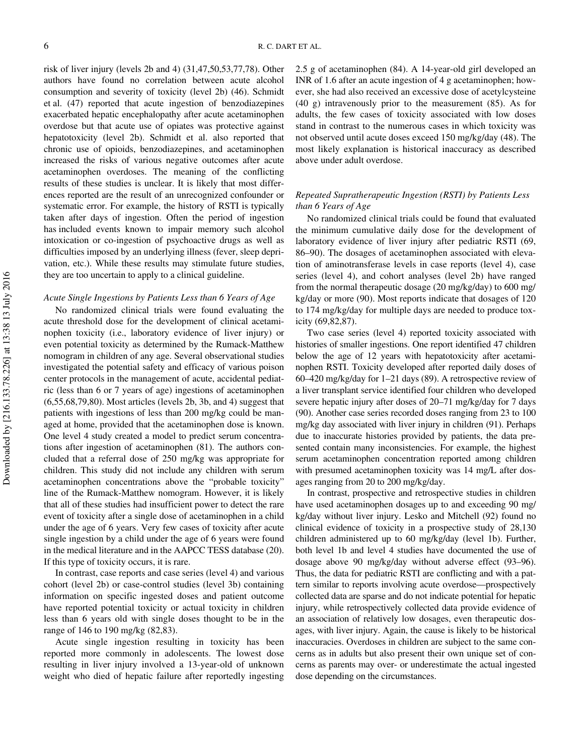risk of liver injury (levels 2b and 4) (31,47,50,53,77,78). Other authors have found no correlation between acute alcohol consumption and severity of toxicity (level 2b) (46). Schmidt et al. (47) reported that acute ingestion of benzodiazepines exacerbated hepatic encephalopathy after acute acetaminophen overdose but that acute use of opiates was protective against hepatotoxicity (level 2b). Schmidt et al. also reported that chronic use of opioids, benzodiazepines, and acetaminophen increased the risks of various negative outcomes after acute acetaminophen overdoses. The meaning of the conflicting results of these studies is unclear. It is likely that most differences reported are the result of an unrecognized confounder or systematic error. For example, the history of RSTI is typically taken after days of ingestion. Often the period of ingestion has included events known to impair memory such alcohol intoxication or co-ingestion of psychoactive drugs as well as difficulties imposed by an underlying illness (fever, sleep deprivation, etc.). While these results may stimulate future studies, they are too uncertain to apply to a clinical guideline.

#### *Acute Single Ingestions by Patients Less than 6 Years of Age*

No randomized clinical trials were found evaluating the acute threshold dose for the development of clinical acetaminophen toxicity (i.e., laboratory evidence of liver injury) or even potential toxicity as determined by the Rumack-Matthew nomogram in children of any age. Several observational studies investigated the potential safety and efficacy of various poison center protocols in the management of acute, accidental pediatric (less than 6 or 7 years of age) ingestions of acetaminophen (6,55,68,79,80). Most articles (levels 2b, 3b, and 4) suggest that patients with ingestions of less than 200 mg/kg could be managed at home, provided that the acetaminophen dose is known. One level 4 study created a model to predict serum concentrations after ingestion of acetaminophen (81). The authors concluded that a referral dose of 250 mg/kg was appropriate for children. This study did not include any children with serum acetaminophen concentrations above the "probable toxicity" line of the Rumack-Matthew nomogram. However, it is likely that all of these studies had insufficient power to detect the rare event of toxicity after a single dose of acetaminophen in a child under the age of 6 years. Very few cases of toxicity after acute single ingestion by a child under the age of 6 years were found in the medical literature and in the AAPCC TESS database (20). If this type of toxicity occurs, it is rare.

In contrast, case reports and case series (level 4) and various cohort (level 2b) or case-control studies (level 3b) containing information on specific ingested doses and patient outcome have reported potential toxicity or actual toxicity in children less than 6 years old with single doses thought to be in the range of 146 to 190 mg/kg (82,83).

Acute single ingestion resulting in toxicity has been reported more commonly in adolescents. The lowest dose resulting in liver injury involved a 13-year-old of unknown weight who died of hepatic failure after reportedly ingesting

2.5 g of acetaminophen (84). A 14-year-old girl developed an INR of 1.6 after an acute ingestion of 4 g acetaminophen; however, she had also received an excessive dose of acetylcysteine (40 g) intravenously prior to the measurement (85). As for adults, the few cases of toxicity associated with low doses stand in contrast to the numerous cases in which toxicity was not observed until acute doses exceed 150 mg/kg/day (48). The most likely explanation is historical inaccuracy as described above under adult overdose.

# *Repeated Supratherapeutic Ingestion (RSTI) by Patients Less than 6 Years of Age*

No randomized clinical trials could be found that evaluated the minimum cumulative daily dose for the development of laboratory evidence of liver injury after pediatric RSTI (69, 86–90). The dosages of acetaminophen associated with elevation of aminotransferase levels in case reports (level 4), case series (level 4), and cohort analyses (level 2b) have ranged from the normal therapeutic dosage (20 mg/kg/day) to 600 mg/ kg/day or more (90). Most reports indicate that dosages of 120 to 174 mg/kg/day for multiple days are needed to produce toxicity (69,82,87).

Two case series (level 4) reported toxicity associated with histories of smaller ingestions. One report identified 47 children below the age of 12 years with hepatotoxicity after acetaminophen RSTI. Toxicity developed after reported daily doses of 60–420 mg/kg/day for 1–21 days (89). A retrospective review of a liver transplant service identified four children who developed severe hepatic injury after doses of 20–71 mg/kg/day for 7 days (90). Another case series recorded doses ranging from 23 to 100 mg/kg day associated with liver injury in children (91). Perhaps due to inaccurate histories provided by patients, the data presented contain many inconsistencies. For example, the highest serum acetaminophen concentration reported among children with presumed acetaminophen toxicity was 14 mg/L after dosages ranging from 20 to 200 mg/kg/day.

In contrast, prospective and retrospective studies in children have used acetaminophen dosages up to and exceeding 90 mg/ kg/day without liver injury. Lesko and Mitchell (92) found no clinical evidence of toxicity in a prospective study of 28,130 children administered up to 60 mg/kg/day (level 1b). Further, both level 1b and level 4 studies have documented the use of dosage above 90 mg/kg/day without adverse effect (93–96). Thus, the data for pediatric RSTI are conflicting and with a pattern similar to reports involving acute overdose—prospectively collected data are sparse and do not indicate potential for hepatic injury, while retrospectively collected data provide evidence of an association of relatively low dosages, even therapeutic dosages, with liver injury. Again, the cause is likely to be historical inaccuracies. Overdoses in children are subject to the same concerns as in adults but also present their own unique set of concerns as parents may over- or underestimate the actual ingested dose depending on the circumstances.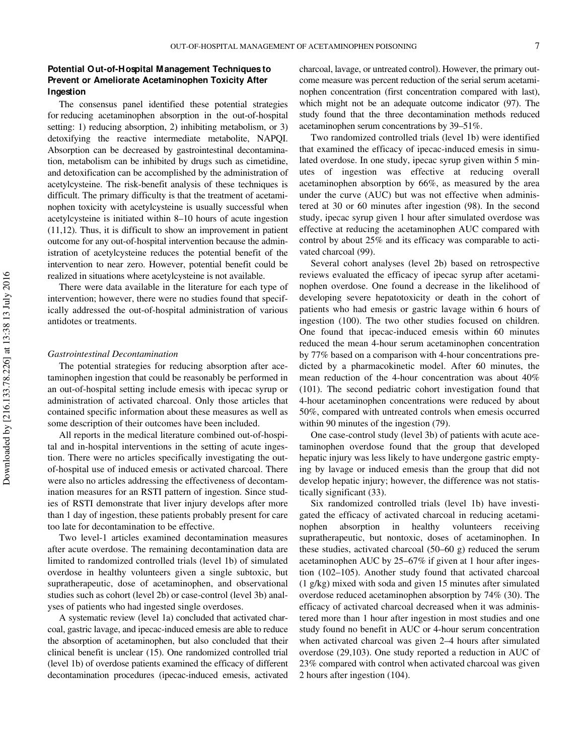# **Potential Out-of-Hospital Management Techniques to Prevent or Ameliorate Acetaminophen Toxicity After Ingestion**

The consensus panel identified these potential strategies for reducing acetaminophen absorption in the out-of-hospital setting: 1) reducing absorption, 2) inhibiting metabolism, or 3) detoxifying the reactive intermediate metabolite, NAPQI. Absorption can be decreased by gastrointestinal decontamination, metabolism can be inhibited by drugs such as cimetidine, and detoxification can be accomplished by the administration of acetylcysteine. The risk-benefit analysis of these techniques is difficult. The primary difficulty is that the treatment of acetaminophen toxicity with acetylcysteine is usually successful when acetylcysteine is initiated within 8–10 hours of acute ingestion (11,12). Thus, it is difficult to show an improvement in patient outcome for any out-of-hospital intervention because the administration of acetylcysteine reduces the potential benefit of the intervention to near zero. However, potential benefit could be realized in situations where acetylcysteine is not available.

There were data available in the literature for each type of intervention; however, there were no studies found that specifically addressed the out-of-hospital administration of various antidotes or treatments.

#### *Gastrointestinal Decontamination*

The potential strategies for reducing absorption after acetaminophen ingestion that could be reasonably be performed in an out-of-hospital setting include emesis with ipecac syrup or administration of activated charcoal. Only those articles that contained specific information about these measures as well as some description of their outcomes have been included.

All reports in the medical literature combined out-of-hospital and in-hospital interventions in the setting of acute ingestion. There were no articles specifically investigating the outof-hospital use of induced emesis or activated charcoal. There were also no articles addressing the effectiveness of decontamination measures for an RSTI pattern of ingestion. Since studies of RSTI demonstrate that liver injury develops after more than 1 day of ingestion, these patients probably present for care too late for decontamination to be effective.

Two level-1 articles examined decontamination measures after acute overdose. The remaining decontamination data are limited to randomized controlled trials (level 1b) of simulated overdose in healthy volunteers given a single subtoxic, but supratherapeutic, dose of acetaminophen, and observational studies such as cohort (level 2b) or case-control (level 3b) analyses of patients who had ingested single overdoses.

A systematic review (level 1a) concluded that activated charcoal, gastric lavage, and ipecac-induced emesis are able to reduce the absorption of acetaminophen, but also concluded that their clinical benefit is unclear (15). One randomized controlled trial (level 1b) of overdose patients examined the efficacy of different decontamination procedures (ipecac-induced emesis, activated charcoal, lavage, or untreated control). However, the primary outcome measure was percent reduction of the serial serum acetaminophen concentration (first concentration compared with last), which might not be an adequate outcome indicator (97). The study found that the three decontamination methods reduced acetaminophen serum concentrations by 39–51%.

Two randomized controlled trials (level 1b) were identified that examined the efficacy of ipecac-induced emesis in simulated overdose. In one study, ipecac syrup given within 5 minutes of ingestion was effective at reducing overall acetaminophen absorption by 66%, as measured by the area under the curve (AUC) but was not effective when administered at 30 or 60 minutes after ingestion (98). In the second study, ipecac syrup given 1 hour after simulated overdose was effective at reducing the acetaminophen AUC compared with control by about 25% and its efficacy was comparable to activated charcoal (99).

Several cohort analyses (level 2b) based on retrospective reviews evaluated the efficacy of ipecac syrup after acetaminophen overdose. One found a decrease in the likelihood of developing severe hepatotoxicity or death in the cohort of patients who had emesis or gastric lavage within 6 hours of ingestion (100). The two other studies focused on children. One found that ipecac-induced emesis within 60 minutes reduced the mean 4-hour serum acetaminophen concentration by 77% based on a comparison with 4-hour concentrations predicted by a pharmacokinetic model. After 60 minutes, the mean reduction of the 4-hour concentration was about 40% (101). The second pediatric cohort investigation found that 4-hour acetaminophen concentrations were reduced by about 50%, compared with untreated controls when emesis occurred within 90 minutes of the ingestion (79).

One case-control study (level 3b) of patients with acute acetaminophen overdose found that the group that developed hepatic injury was less likely to have undergone gastric emptying by lavage or induced emesis than the group that did not develop hepatic injury; however, the difference was not statistically significant (33).

Six randomized controlled trials (level 1b) have investigated the efficacy of activated charcoal in reducing acetaminophen absorption in healthy volunteers receiving supratherapeutic, but nontoxic, doses of acetaminophen. In these studies, activated charcoal (50–60 g) reduced the serum acetaminophen AUC by 25–67% if given at 1 hour after ingestion (102–105). Another study found that activated charcoal (1 g/kg) mixed with soda and given 15 minutes after simulated overdose reduced acetaminophen absorption by 74% (30). The efficacy of activated charcoal decreased when it was administered more than 1 hour after ingestion in most studies and one study found no benefit in AUC or 4-hour serum concentration when activated charcoal was given 2–4 hours after simulated overdose (29,103). One study reported a reduction in AUC of 23% compared with control when activated charcoal was given 2 hours after ingestion (104).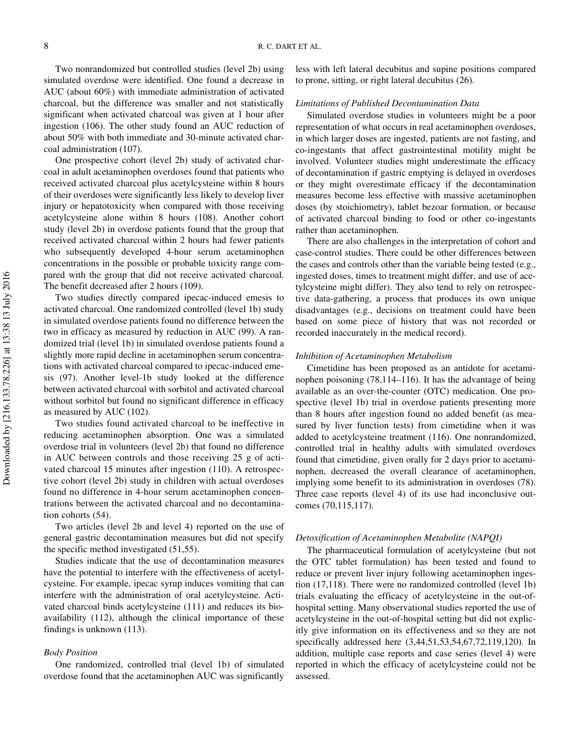Two nonrandomized but controlled studies (level 2b) using simulated overdose were identified. One found a decrease in AUC (about 60%) with immediate administration of activated charcoal, but the difference was smaller and not statistically significant when activated charcoal was given at 1 hour after ingestion (106). The other study found an AUC reduction of about 50% with both immediate and 30-minute activated charcoal administration (107).

One prospective cohort (level 2b) study of activated charcoal in adult acetaminophen overdoses found that patients who received activated charcoal plus acetylcysteine within 8 hours of their overdoses were significantly less likely to develop liver injury or hepatotoxicity when compared with those receiving acetylcysteine alone within 8 hours (108). Another cohort study (level 2b) in overdose patients found that the group that received activated charcoal within 2 hours had fewer patients who subsequently developed 4-hour serum acetaminophen concentrations in the possible or probable toxicity range compared with the group that did not receive activated charcoal. The benefit decreased after 2 hours (109).

Two studies directly compared ipecac-induced emesis to activated charcoal. One randomized controlled (level 1b) study in simulated overdose patients found no difference between the two in efficacy as measured by reduction in AUC (99). A randomized trial (level 1b) in simulated overdose patients found a slightly more rapid decline in acetaminophen serum concentrations with activated charcoal compared to ipecac-induced emesis (97). Another level-1b study looked at the difference between activated charcoal with sorbitol and activated charcoal without sorbitol but found no significant difference in efficacy as measured by AUC (102).

Two studies found activated charcoal to be ineffective in reducing acetaminophen absorption. One was a simulated overdose trial in volunteers (level 2b) that found no difference in AUC between controls and those receiving 25 g of activated charcoal 15 minutes after ingestion (110). A retrospective cohort (level 2b) study in children with actual overdoses found no difference in 4-hour serum acetaminophen concentrations between the activated charcoal and no decontamination cohorts (54).

Two articles (level 2b and level 4) reported on the use of general gastric decontamination measures but did not specify the specific method investigated (51,55).

Studies indicate that the use of decontamination measures have the potential to interfere with the effectiveness of acetylcysteine. For example, ipecac syrup induces vomiting that can interfere with the administration of oral acetylcysteine. Activated charcoal binds acetylcysteine (111) and reduces its bioavailability (112), although the clinical importance of these findings is unknown (113).

#### *Body Position*

One randomized, controlled trial (level 1b) of simulated overdose found that the acetaminophen AUC was significantly less with left lateral decubitus and supine positions compared to prone, sitting, or right lateral decubitus (26).

#### *Limitations of Published Decontamination Data*

Simulated overdose studies in volunteers might be a poor representation of what occurs in real acetaminophen overdoses, in which larger doses are ingested, patients are not fasting, and co-ingestants that affect gastrointestinal motility might be involved. Volunteer studies might underestimate the efficacy of decontamination if gastric emptying is delayed in overdoses or they might overestimate efficacy if the decontamination measures become less effective with massive acetaminophen doses (by stoichiometry), tablet bezoar formation, or because of activated charcoal binding to food or other co-ingestants rather than acetaminophen.

There are also challenges in the interpretation of cohort and case-control studies. There could be other differences between the cases and controls other than the variable being tested (e.g., ingested doses, times to treatment might differ, and use of acetylcysteine might differ). They also tend to rely on retrospective data-gathering, a process that produces its own unique disadvantages (e.g., decisions on treatment could have been based on some piece of history that was not recorded or recorded inaccurately in the medical record).

#### *Inhibition of Acetaminophen Metabolism*

Cimetidine has been proposed as an antidote for acetaminophen poisoning (78,114–116). It has the advantage of being available as an over-the-counter (OTC) medication. One prospective (level 1b) trial in overdose patients presenting more than 8 hours after ingestion found no added benefit (as measured by liver function tests) from cimetidine when it was added to acetylcysteine treatment (116). One nonrandomized, controlled trial in healthy adults with simulated overdoses found that cimetidine, given orally for 2 days prior to acetaminophen, decreased the overall clearance of acetaminophen, implying some benefit to its administration in overdoses (78). Three case reports (level 4) of its use had inconclusive outcomes (70,115,117).

#### *Detoxification of Acetaminophen Metabolite (NAPQI)*

The pharmaceutical formulation of acetylcysteine (but not the OTC tablet formulation) has been tested and found to reduce or prevent liver injury following acetaminophen ingestion (17,118). There were no randomized controlled (level 1b) trials evaluating the efficacy of acetylcysteine in the out-ofhospital setting. Many observational studies reported the use of acetylcysteine in the out-of-hospital setting but did not explicitly give information on its effectiveness and so they are not specifically addressed here (3,44,51,53,54,67,72,119,120). In addition, multiple case reports and case series (level 4) were reported in which the efficacy of acetylcysteine could not be assessed.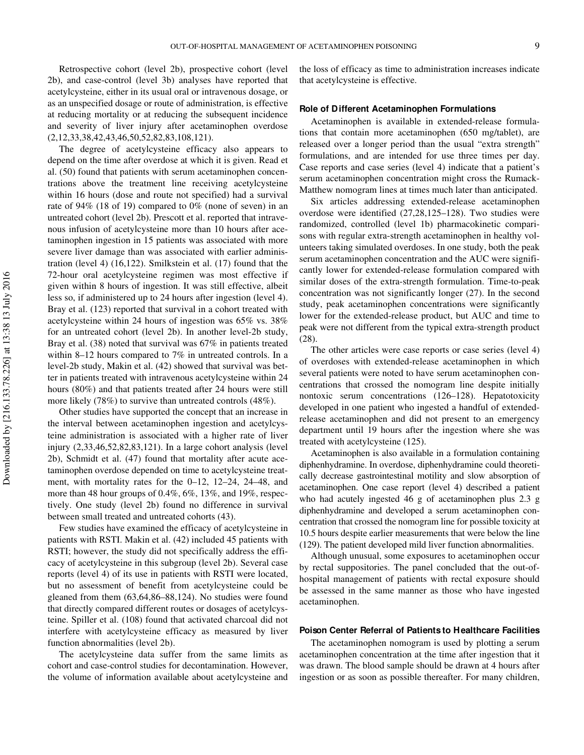Retrospective cohort (level 2b), prospective cohort (level 2b), and case-control (level 3b) analyses have reported that acetylcysteine, either in its usual oral or intravenous dosage, or as an unspecified dosage or route of administration, is effective at reducing mortality or at reducing the subsequent incidence and severity of liver injury after acetaminophen overdose (2,12,33,38,42,43,46,50,52,82,83,108,121).

The degree of acetylcysteine efficacy also appears to depend on the time after overdose at which it is given. Read et al. (50) found that patients with serum acetaminophen concentrations above the treatment line receiving acetylcysteine within 16 hours (dose and route not specified) had a survival rate of 94% (18 of 19) compared to 0% (none of seven) in an untreated cohort (level 2b). Prescott et al. reported that intravenous infusion of acetylcysteine more than 10 hours after acetaminophen ingestion in 15 patients was associated with more severe liver damage than was associated with earlier administration (level 4) (16,122). Smilkstein et al. (17) found that the 72-hour oral acetylcysteine regimen was most effective if given within 8 hours of ingestion. It was still effective, albeit less so, if administered up to 24 hours after ingestion (level 4). Bray et al. (123) reported that survival in a cohort treated with acetylcysteine within 24 hours of ingestion was 65% vs. 38% for an untreated cohort (level 2b). In another level-2b study, Bray et al. (38) noted that survival was 67% in patients treated within 8–12 hours compared to 7% in untreated controls. In a level-2b study, Makin et al. (42) showed that survival was better in patients treated with intravenous acetylcysteine within 24 hours (80%) and that patients treated after 24 hours were still more likely (78%) to survive than untreated controls (48%).

Other studies have supported the concept that an increase in the interval between acetaminophen ingestion and acetylcysteine administration is associated with a higher rate of liver injury (2,33,46,52,82,83,121). In a large cohort analysis (level 2b), Schmidt et al. (47) found that mortality after acute acetaminophen overdose depended on time to acetylcysteine treatment, with mortality rates for the 0–12, 12–24, 24–48, and more than 48 hour groups of 0.4%, 6%, 13%, and 19%, respectively. One study (level 2b) found no difference in survival between small treated and untreated cohorts (43).

Few studies have examined the efficacy of acetylcysteine in patients with RSTI. Makin et al. (42) included 45 patients with RSTI; however, the study did not specifically address the efficacy of acetylcysteine in this subgroup (level 2b). Several case reports (level 4) of its use in patients with RSTI were located, but no assessment of benefit from acetylcysteine could be gleaned from them (63,64,86–88,124). No studies were found that directly compared different routes or dosages of acetylcysteine. Spiller et al. (108) found that activated charcoal did not interfere with acetylcysteine efficacy as measured by liver function abnormalities (level 2b).

The acetylcysteine data suffer from the same limits as cohort and case-control studies for decontamination. However, the volume of information available about acetylcysteine and the loss of efficacy as time to administration increases indicate that acetylcysteine is effective.

#### **Role of Different Acetaminophen Formulations**

Acetaminophen is available in extended-release formulations that contain more acetaminophen (650 mg/tablet), are released over a longer period than the usual "extra strength" formulations, and are intended for use three times per day. Case reports and case series (level 4) indicate that a patient's serum acetaminophen concentration might cross the Rumack-Matthew nomogram lines at times much later than anticipated.

Six articles addressing extended-release acetaminophen overdose were identified (27,28,125–128). Two studies were randomized, controlled (level 1b) pharmacokinetic comparisons with regular extra-strength acetaminophen in healthy volunteers taking simulated overdoses. In one study, both the peak serum acetaminophen concentration and the AUC were significantly lower for extended-release formulation compared with similar doses of the extra-strength formulation. Time-to-peak concentration was not significantly longer (27). In the second study, peak acetaminophen concentrations were significantly lower for the extended-release product, but AUC and time to peak were not different from the typical extra-strength product (28).

The other articles were case reports or case series (level 4) of overdoses with extended-release acetaminophen in which several patients were noted to have serum acetaminophen concentrations that crossed the nomogram line despite initially nontoxic serum concentrations (126–128). Hepatotoxicity developed in one patient who ingested a handful of extendedrelease acetaminophen and did not present to an emergency department until 19 hours after the ingestion where she was treated with acetylcysteine (125).

Acetaminophen is also available in a formulation containing diphenhydramine. In overdose, diphenhydramine could theoretically decrease gastrointestinal motility and slow absorption of acetaminophen. One case report (level 4) described a patient who had acutely ingested 46 g of acetaminophen plus 2.3 g diphenhydramine and developed a serum acetaminophen concentration that crossed the nomogram line for possible toxicity at 10.5 hours despite earlier measurements that were below the line (129). The patient developed mild liver function abnormalities.

Although unusual, some exposures to acetaminophen occur by rectal suppositories. The panel concluded that the out-ofhospital management of patients with rectal exposure should be assessed in the same manner as those who have ingested acetaminophen.

#### **Poison Center Referral of Patients to Healthcare Facilities**

The acetaminophen nomogram is used by plotting a serum acetaminophen concentration at the time after ingestion that it was drawn. The blood sample should be drawn at 4 hours after ingestion or as soon as possible thereafter. For many children,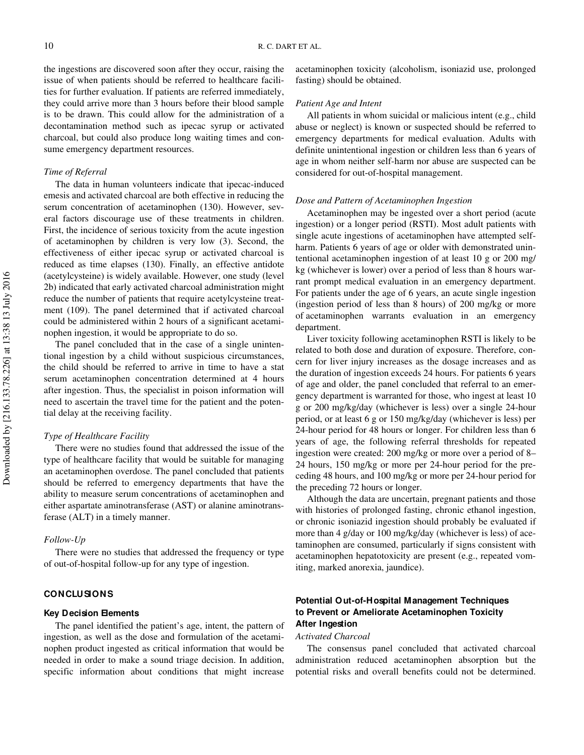the ingestions are discovered soon after they occur, raising the issue of when patients should be referred to healthcare facilities for further evaluation. If patients are referred immediately, they could arrive more than 3 hours before their blood sample is to be drawn. This could allow for the administration of a decontamination method such as ipecac syrup or activated charcoal, but could also produce long waiting times and consume emergency department resources.

# *Time of Referral*

The data in human volunteers indicate that ipecac-induced emesis and activated charcoal are both effective in reducing the serum concentration of acetaminophen (130). However, several factors discourage use of these treatments in children. First, the incidence of serious toxicity from the acute ingestion of acetaminophen by children is very low (3). Second, the effectiveness of either ipecac syrup or activated charcoal is reduced as time elapses (130). Finally, an effective antidote (acetylcysteine) is widely available. However, one study (level 2b) indicated that early activated charcoal administration might reduce the number of patients that require acetylcysteine treatment (109). The panel determined that if activated charcoal could be administered within 2 hours of a significant acetaminophen ingestion, it would be appropriate to do so.

The panel concluded that in the case of a single unintentional ingestion by a child without suspicious circumstances, the child should be referred to arrive in time to have a stat serum acetaminophen concentration determined at 4 hours after ingestion. Thus, the specialist in poison information will need to ascertain the travel time for the patient and the potential delay at the receiving facility.

#### *Type of Healthcare Facility*

There were no studies found that addressed the issue of the type of healthcare facility that would be suitable for managing an acetaminophen overdose. The panel concluded that patients should be referred to emergency departments that have the ability to measure serum concentrations of acetaminophen and either aspartate aminotransferase (AST) or alanine aminotransferase (ALT) in a timely manner.

#### *Follow-Up*

There were no studies that addressed the frequency or type of out-of-hospital follow-up for any type of ingestion.

#### **CONCLUSIONS**

#### **Key Decision Elements**

The panel identified the patient's age, intent, the pattern of ingestion, as well as the dose and formulation of the acetaminophen product ingested as critical information that would be needed in order to make a sound triage decision. In addition, specific information about conditions that might increase

acetaminophen toxicity (alcoholism, isoniazid use, prolonged fasting) should be obtained.

#### *Patient Age and Intent*

All patients in whom suicidal or malicious intent (e.g., child abuse or neglect) is known or suspected should be referred to emergency departments for medical evaluation. Adults with definite unintentional ingestion or children less than 6 years of age in whom neither self-harm nor abuse are suspected can be considered for out-of-hospital management.

#### *Dose and Pattern of Acetaminophen Ingestion*

Acetaminophen may be ingested over a short period (acute ingestion) or a longer period (RSTI). Most adult patients with single acute ingestions of acetaminophen have attempted selfharm. Patients 6 years of age or older with demonstrated unintentional acetaminophen ingestion of at least 10 g or 200 mg/ kg (whichever is lower) over a period of less than 8 hours warrant prompt medical evaluation in an emergency department. For patients under the age of 6 years, an acute single ingestion (ingestion period of less than 8 hours) of 200 mg/kg or more of acetaminophen warrants evaluation in an emergency department.

Liver toxicity following acetaminophen RSTI is likely to be related to both dose and duration of exposure. Therefore, concern for liver injury increases as the dosage increases and as the duration of ingestion exceeds 24 hours. For patients 6 years of age and older, the panel concluded that referral to an emergency department is warranted for those, who ingest at least 10 g or 200 mg/kg/day (whichever is less) over a single 24-hour period, or at least 6 g or 150 mg/kg/day (whichever is less) per 24-hour period for 48 hours or longer. For children less than 6 years of age, the following referral thresholds for repeated ingestion were created: 200 mg/kg or more over a period of 8– 24 hours, 150 mg/kg or more per 24-hour period for the preceding 48 hours, and 100 mg/kg or more per 24-hour period for the preceding 72 hours or longer.

Although the data are uncertain, pregnant patients and those with histories of prolonged fasting, chronic ethanol ingestion, or chronic isoniazid ingestion should probably be evaluated if more than 4 g/day or 100 mg/kg/day (whichever is less) of acetaminophen are consumed, particularly if signs consistent with acetaminophen hepatotoxicity are present (e.g., repeated vomiting, marked anorexia, jaundice).

# **Potential Out-of-Hospital Management Techniques to Prevent or Ameliorate Acetaminophen Toxicity After Ingestion**

#### *Activated Charcoal*

The consensus panel concluded that activated charcoal administration reduced acetaminophen absorption but the potential risks and overall benefits could not be determined.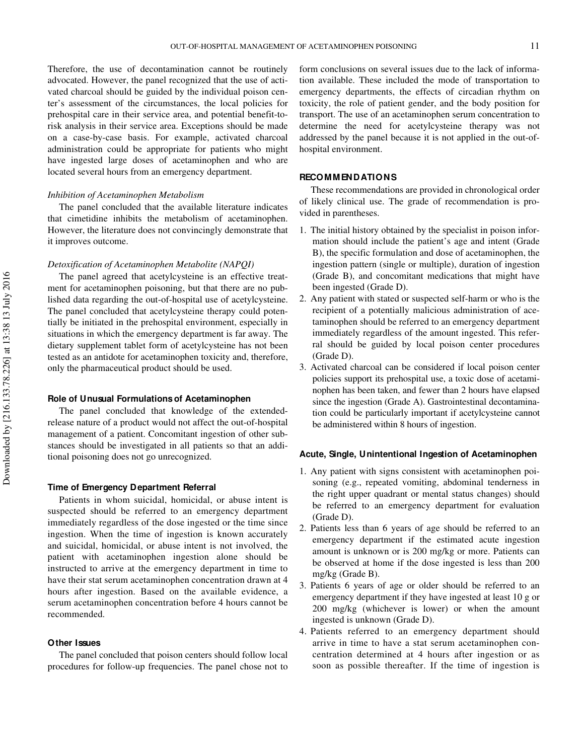Therefore, the use of decontamination cannot be routinely advocated. However, the panel recognized that the use of activated charcoal should be guided by the individual poison center's assessment of the circumstances, the local policies for prehospital care in their service area, and potential benefit-torisk analysis in their service area. Exceptions should be made on a case-by-case basis. For example, activated charcoal administration could be appropriate for patients who might have ingested large doses of acetaminophen and who are located several hours from an emergency department.

#### *Inhibition of Acetaminophen Metabolism*

The panel concluded that the available literature indicates that cimetidine inhibits the metabolism of acetaminophen. However, the literature does not convincingly demonstrate that it improves outcome.

#### *Detoxification of Acetaminophen Metabolite (NAPQI)*

The panel agreed that acetylcysteine is an effective treatment for acetaminophen poisoning, but that there are no published data regarding the out-of-hospital use of acetylcysteine. The panel concluded that acetylcysteine therapy could potentially be initiated in the prehospital environment, especially in situations in which the emergency department is far away. The dietary supplement tablet form of acetylcysteine has not been tested as an antidote for acetaminophen toxicity and, therefore, only the pharmaceutical product should be used.

#### **Role of Unusual Formulations of Acetaminophen**

The panel concluded that knowledge of the extendedrelease nature of a product would not affect the out-of-hospital management of a patient. Concomitant ingestion of other substances should be investigated in all patients so that an additional poisoning does not go unrecognized.

#### **Time of Emergency Department Referral**

Patients in whom suicidal, homicidal, or abuse intent is suspected should be referred to an emergency department immediately regardless of the dose ingested or the time since ingestion. When the time of ingestion is known accurately and suicidal, homicidal, or abuse intent is not involved, the patient with acetaminophen ingestion alone should be instructed to arrive at the emergency department in time to have their stat serum acetaminophen concentration drawn at 4 hours after ingestion. Based on the available evidence, a serum acetaminophen concentration before 4 hours cannot be recommended.

#### **Other Issues**

The panel concluded that poison centers should follow local procedures for follow-up frequencies. The panel chose not to

form conclusions on several issues due to the lack of information available. These included the mode of transportation to emergency departments, the effects of circadian rhythm on toxicity, the role of patient gender, and the body position for transport. The use of an acetaminophen serum concentration to determine the need for acetylcysteine therapy was not addressed by the panel because it is not applied in the out-ofhospital environment.

#### **RECOMMENDATIONS**

These recommendations are provided in chronological order of likely clinical use. The grade of recommendation is provided in parentheses.

- 1. The initial history obtained by the specialist in poison information should include the patient's age and intent (Grade B), the specific formulation and dose of acetaminophen, the ingestion pattern (single or multiple), duration of ingestion (Grade B), and concomitant medications that might have been ingested (Grade D).
- 2. Any patient with stated or suspected self-harm or who is the recipient of a potentially malicious administration of acetaminophen should be referred to an emergency department immediately regardless of the amount ingested. This referral should be guided by local poison center procedures (Grade D).
- 3. Activated charcoal can be considered if local poison center policies support its prehospital use, a toxic dose of acetaminophen has been taken, and fewer than 2 hours have elapsed since the ingestion (Grade A). Gastrointestinal decontamination could be particularly important if acetylcysteine cannot be administered within 8 hours of ingestion.

#### **Acute, Single, Unintentional Ingestion of Acetaminophen**

- 1. Any patient with signs consistent with acetaminophen poisoning (e.g., repeated vomiting, abdominal tenderness in the right upper quadrant or mental status changes) should be referred to an emergency department for evaluation (Grade D).
- 2. Patients less than 6 years of age should be referred to an emergency department if the estimated acute ingestion amount is unknown or is 200 mg/kg or more. Patients can be observed at home if the dose ingested is less than 200 mg/kg (Grade B).
- 3. Patients 6 years of age or older should be referred to an emergency department if they have ingested at least 10 g or 200 mg/kg (whichever is lower) or when the amount ingested is unknown (Grade D).
- 4. Patients referred to an emergency department should arrive in time to have a stat serum acetaminophen concentration determined at 4 hours after ingestion or as soon as possible thereafter. If the time of ingestion is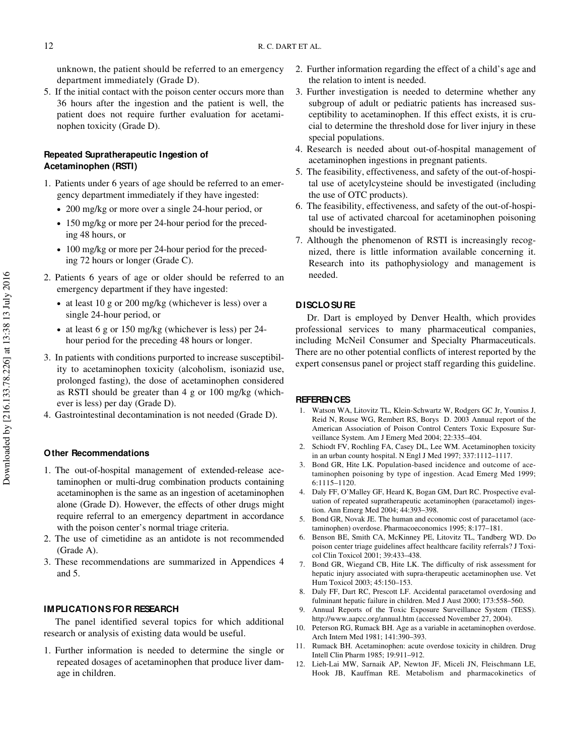unknown, the patient should be referred to an emergency department immediately (Grade D).

5. If the initial contact with the poison center occurs more than 36 hours after the ingestion and the patient is well, the patient does not require further evaluation for acetaminophen toxicity (Grade D).

# **Repeated Supratherapeutic Ingestion of Acetaminophen (RSTI)**

- 1. Patients under 6 years of age should be referred to an emergency department immediately if they have ingested:
	- 200 mg/kg or more over a single 24-hour period, or
	- 150 mg/kg or more per 24-hour period for the preceding 48 hours, or
	- 100 mg/kg or more per 24-hour period for the preceding 72 hours or longer (Grade C).
- 2. Patients 6 years of age or older should be referred to an emergency department if they have ingested:
	- at least 10 g or 200 mg/kg (whichever is less) over a single 24-hour period, or
	- at least 6 g or 150 mg/kg (whichever is less) per 24 hour period for the preceding 48 hours or longer.
- 3. In patients with conditions purported to increase susceptibility to acetaminophen toxicity (alcoholism, isoniazid use, prolonged fasting), the dose of acetaminophen considered as RSTI should be greater than 4 g or 100 mg/kg (whichever is less) per day (Grade D).
- 4. Gastrointestinal decontamination is not needed (Grade D).

#### **Other Recommendations**

- 1. The out-of-hospital management of extended-release acetaminophen or multi-drug combination products containing acetaminophen is the same as an ingestion of acetaminophen alone (Grade D). However, the effects of other drugs might require referral to an emergency department in accordance with the poison center's normal triage criteria.
- 2. The use of cimetidine as an antidote is not recommended (Grade A).
- 3. These recommendations are summarized in Appendices 4 and 5.

#### **IMPLICATIONS FOR RESEARCH**

The panel identified several topics for which additional research or analysis of existing data would be useful.

1. Further information is needed to determine the single or repeated dosages of acetaminophen that produce liver damage in children.

- 2. Further information regarding the effect of a child's age and the relation to intent is needed.
- 3. Further investigation is needed to determine whether any subgroup of adult or pediatric patients has increased susceptibility to acetaminophen. If this effect exists, it is crucial to determine the threshold dose for liver injury in these special populations.
- 4. Research is needed about out-of-hospital management of acetaminophen ingestions in pregnant patients.
- 5. The feasibility, effectiveness, and safety of the out-of-hospital use of acetylcysteine should be investigated (including the use of OTC products).
- 6. The feasibility, effectiveness, and safety of the out-of-hospital use of activated charcoal for acetaminophen poisoning should be investigated.
- 7. Although the phenomenon of RSTI is increasingly recognized, there is little information available concerning it. Research into its pathophysiology and management is needed.

#### **DISCLO SURE**

Dr. Dart is employed by Denver Health, which provides professional services to many pharmaceutical companies, including McNeil Consumer and Specialty Pharmaceuticals. There are no other potential conflicts of interest reported by the expert consensus panel or project staff regarding this guideline.

#### **REFERENCES**

- 1. Watson WA, Litovitz TL, Klein-Schwartz W, Rodgers GC Jr, Youniss J, Reid N, Rouse WG, Rembert RS, Borys D. 2003 Annual report of the American Association of Poison Control Centers Toxic Exposure Surveillance System. Am J Emerg Med 2004; 22:335–404.
- 2. Schiodt FV, Rochling FA, Casey DL, Lee WM. Acetaminophen toxicity in an urban county hospital. N Engl J Med 1997; 337:1112–1117.
- Bond GR, Hite LK. Population-based incidence and outcome of acetaminophen poisoning by type of ingestion. Acad Emerg Med 1999; 6:1115–1120.
- 4. Daly FF, O'Malley GF, Heard K, Bogan GM, Dart RC. Prospective evaluation of repeated supratherapeutic acetaminophen (paracetamol) ingestion. Ann Emerg Med 2004; 44:393–398.
- 5. Bond GR, Novak JE. The human and economic cost of paracetamol (acetaminophen) overdose. Pharmacoeconomics 1995; 8:177–181.
- 6. Benson BE, Smith CA, McKinney PE, Litovitz TL, Tandberg WD. Do poison center triage guidelines affect healthcare facility referrals? J Toxicol Clin Toxicol 2001; 39:433–438.
- 7. Bond GR, Wiegand CB, Hite LK. The difficulty of risk assessment for hepatic injury associated with supra-therapeutic acetaminophen use. Vet Hum Toxicol 2003; 45:150–153.
- 8. Daly FF, Dart RC, Prescott LF. Accidental paracetamol overdosing and fulminant hepatic failure in children. Med J Aust 2000; 173:558–560.
- 9. Annual Reports of the Toxic Exposure Surveillance System (TESS). http://www.aapcc.org/annual.htm (accessed November 27, 2004).
- 10. Peterson RG, Rumack BH. Age as a variable in acetaminophen overdose. Arch Intern Med 1981; 141:390–393.
- 11. Rumack BH. Acetaminophen: acute overdose toxicity in children. Drug Intell Clin Pharm 1985; 19:911–912.
- 12. Lieh-Lai MW, Sarnaik AP, Newton JF, Miceli JN, Fleischmann LE, Hook JB, Kauffman RE. Metabolism and pharmacokinetics of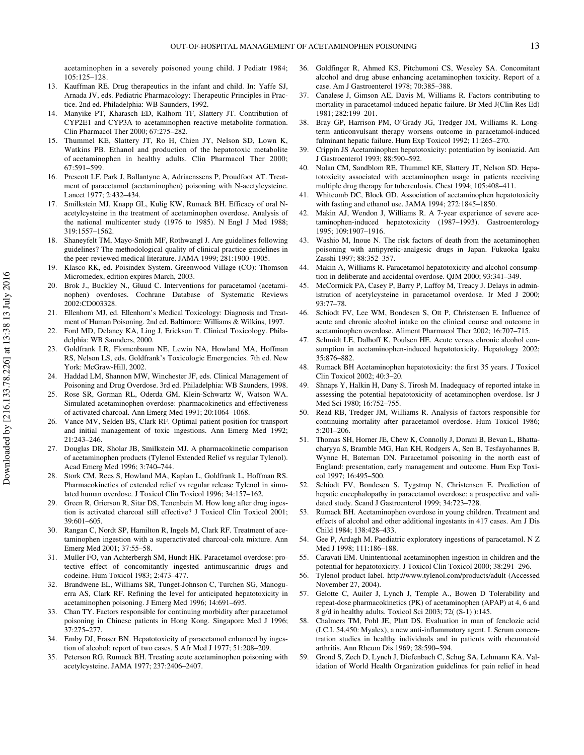acetaminophen in a severely poisoned young child. J Pediatr 1984; 105:125–128.

- 13. Kauffman RE. Drug therapeutics in the infant and child. In: Yaffe SJ, Arnada JV, eds. Pediatric Pharmacology: Therapeutic Principles in Practice. 2nd ed. Philadelphia: WB Saunders, 1992.
- 14. Manyike PT, Kharasch ED, Kalhorn TF, Slattery JT. Contribution of CYP2E1 and CYP3A to acetaminophen reactive metabolite formation. Clin Pharmacol Ther 2000; 67:275–282.
- 15. Thummel KE, Slattery JT, Ro H, Chien JY, Nelson SD, Lown K, Watkins PB. Ethanol and production of the hepatotoxic metabolite of acetaminophen in healthy adults. Clin Pharmacol Ther 2000; 67:591–599.
- 16. Prescott LF, Park J, Ballantyne A, Adriaenssens P, Proudfoot AT. Treatment of paracetamol (acetaminophen) poisoning with N-acetylcysteine. Lancet 1977; 2:432–434.
- 17. Smilkstein MJ, Knapp GL, Kulig KW, Rumack BH. Efficacy of oral Nacetylcysteine in the treatment of acetaminophen overdose. Analysis of the national multicenter study (1976 to 1985). N Engl J Med 1988; 319:1557–1562.
- 18. Shaneyfelt TM, Mayo-Smith MF, Rothwangl J. Are guidelines following guidelines? The methodological quality of clinical practice guidelines in the peer-reviewed medical literature. JAMA 1999; 281:1900–1905.
- 19. Klasco RK, ed. Poisindex System. Greenwood Village (CO): Thomson Micromedex, edition expires March, 2003.
- 20. Brok J., Buckley N., Gluud C. Interventions for paracetamol (acetaminophen) overdoses. Cochrane Database of Systematic Reviews 2002:CD003328.
- 21. Ellenhorn MJ, ed. Ellenhorn's Medical Toxicology: Diagnosis and Treatment of Human Poisoning. 2nd ed. Baltimore: Williams & Wilkins, 1997.
- 22. Ford MD, Delaney KA, Ling J, Erickson T. Clinical Toxicology. Philadelphia: WB Saunders, 2000.
- 23. Goldfrank LR, Flomenbaum NE, Lewin NA, Howland MA, Hoffman RS, Nelson LS, eds. Goldfrank's Toxicologic Emergencies. 7th ed. New York: McGraw-Hill, 2002.
- 24. Haddad LM, Shannon MW, Winchester JF, eds. Clinical Management of Poisoning and Drug Overdose. 3rd ed. Philadelphia: WB Saunders, 1998.
- 25. Rose SR, Gorman RL, Oderda GM, Klein-Schwartz W, Watson WA. Simulated acetaminophen overdose: pharmacokinetics and effectiveness of activated charcoal. Ann Emerg Med 1991; 20:1064–1068.
- 26. Vance MV, Selden BS, Clark RF. Optimal patient position for transport and initial management of toxic ingestions. Ann Emerg Med 1992; 21:243–246.
- 27. Douglas DR, Sholar JB, Smilkstein MJ. A pharmacokinetic comparison of acetaminophen products (Tylenol Extended Relief vs regular Tylenol). Acad Emerg Med 1996; 3:740–744.
- 28. Stork CM, Rees S, Howland MA, Kaplan L, Goldfrank L, Hoffman RS. Pharmacokinetics of extended relief vs regular release Tylenol in simulated human overdose. J Toxicol Clin Toxicol 1996; 34:157–162.
- 29. Green R, Grierson R, Sitar DS, Tenenbein M. How long after drug ingestion is activated charcoal still effective? J Toxicol Clin Toxicol 2001; 39:601–605.
- 30. Rangan C, Nordt SP, Hamilton R, Ingels M, Clark RF. Treatment of acetaminophen ingestion with a superactivated charcoal-cola mixture. Ann Emerg Med 2001; 37:55–58.
- 31. Muller FO, van Achterbergh SM, Hundt HK. Paracetamol overdose: protective effect of concomitantly ingested antimuscarinic drugs and codeine. Hum Toxicol 1983; 2:473–477.
- 32. Brandwene EL, Williams SR, Tunget-Johnson C, Turchen SG, Manoguerra AS, Clark RF. Refining the level for anticipated hepatotoxicity in acetaminophen poisoning. J Emerg Med 1996; 14:691–695.
- 33. Chan TY. Factors responsible for continuing morbidity after paracetamol poisoning in Chinese patients in Hong Kong. Singapore Med J 1996; 37:275–277.
- 34. Emby DJ, Fraser BN. Hepatotoxicity of paracetamol enhanced by ingestion of alcohol: report of two cases. S Afr Med J 1977; 51:208–209.
- 35. Peterson RG, Rumack BH. Treating acute acetaminophen poisoning with acetylcysteine. JAMA 1977; 237:2406–2407.
- 36. Goldfinger R, Ahmed KS, Pitchumoni CS, Weseley SA. Concomitant alcohol and drug abuse enhancing acetaminophen toxicity. Report of a case. Am J Gastroenterol 1978; 70:385–388.
- 37. Canalese J, Gimson AE, Davis M, Williams R. Factors contributing to mortality in paracetamol-induced hepatic failure. Br Med J(Clin Res Ed) 1981; 282:199–201.
- 38. Bray GP, Harrison PM, O'Grady JG, Tredger JM, Williams R. Longterm anticonvulsant therapy worsens outcome in paracetamol-induced fulminant hepatic failure. Hum Exp Toxicol 1992; 11:265–270.
- 39. Crippin JS Acetaminophen hepatotoxicity: potentiation by isoniazid. Am J Gastroenterol 1993; 88:590–592.
- 40. Nolan CM, Sandblom RE, Thummel KE, Slattery JT, Nelson SD. Hepatotoxicity associated with acetaminophen usage in patients receiving multiple drug therapy for tuberculosis. Chest 1994; 105:408–411.
- 41. Whitcomb DC, Block GD. Association of acetaminophen hepatotoxicity with fasting and ethanol use. JAMA 1994; 272:1845–1850.
- 42. Makin AJ, Wendon J, Williams R. A 7-year experience of severe acetaminophen-induced hepatotoxicity (1987–1993). Gastroenterology 1995; 109:1907–1916.
- 43. Washio M, Inoue N. The risk factors of death from the acetaminophen poisoning with antipyretic-analgesic drugs in Japan. Fukuoka Igaku Zasshi 1997; 88:352–357.
- 44. Makin A, Williams R. Paracetamol hepatotoxicity and alcohol consumption in deliberate and accidental overdose. QJM 2000; 93:341–349.
- 45. McCormick PA, Casey P, Barry P, Laffoy M, Treacy J. Delays in administration of acetylcysteine in paracetamol overdose. Ir Med J 2000; 93:77–78.
- 46. Schiodt FV, Lee WM, Bondesen S, Ott P, Christensen E. Influence of acute and chronic alcohol intake on the clinical course and outcome in acetaminophen overdose. Aliment Pharmacol Ther 2002; 16:707–715.
- 47. Schmidt LE, Dalhoff K, Poulsen HE. Acute versus chronic alcohol consumption in acetaminophen-induced hepatotoxicity. Hepatology 2002; 35:876–882.
- 48. Rumack BH Acetaminophen hepatotoxicity: the first 35 years. J Toxicol Clin Toxicol 2002; 40:3–20.
- 49. Shnaps Y, Halkin H, Dany S, Tirosh M. Inadequacy of reported intake in assessing the potential hepatotoxicity of acetaminophen overdose. Isr J Med Sci 1980; 16:752–755.
- 50. Read RB, Tredger JM, Williams R. Analysis of factors responsible for continuing mortality after paracetamol overdose. Hum Toxicol 1986; 5:201–206.
- 51. Thomas SH, Horner JE, Chew K, Connolly J, Dorani B, Bevan L, Bhattacharyya S, Bramble MG, Han KH, Rodgers A, Sen B, Tesfayohannes B, Wynne H, Bateman DN. Paracetamol poisoning in the north east of England: presentation, early management and outcome. Hum Exp Toxicol 1997; 16:495–500.
- 52. Schiodt FV, Bondesen S, Tygstrup N, Christensen E. Prediction of hepatic encephalopathy in paracetamol overdose: a prospective and validated study. Scand J Gastroenterol 1999; 34:723–728.
- 53. Rumack BH. Acetaminophen overdose in young children. Treatment and effects of alcohol and other additional ingestants in 417 cases. Am J Dis Child 1984; 138:428–433.
- 54. Gee P, Ardagh M. Paediatric exploratory ingestions of paracetamol. N Z Med J 1998; 111:186–188.
- 55. Caravati EM. Unintentional acetaminophen ingestion in children and the potential for hepatotoxicity. J Toxicol Clin Toxicol 2000; 38:291–296.
- 56. Tylenol product label. http://www.tylenol.com/products/adult (Accessed November 27, 2004).
- 57. Gelotte C, Auiler J, Lynch J, Temple A., Bowen D Tolerability and repeat-dose pharmacokinetics (PK) of acetaminophen (APAP) at 4, 6 and 8 g/d in healthy adults. Toxicol Sci 2003; 72( (S-1) ):145.
- 58. Chalmers TM, Pohl JE, Platt DS. Evaluation in man of fenclozic acid (I.C.I. 54,450: Myalex), a new anti-inflammatory agent. I. Serum concentration studies in healthy individuals and in patients with rheumatoid arthritis. Ann Rheum Dis 1969; 28:590–594.
- 59. Grond S, Zech D, Lynch J, Diefenbach C, Schug SA, Lehmann KA. Validation of World Health Organization guidelines for pain relief in head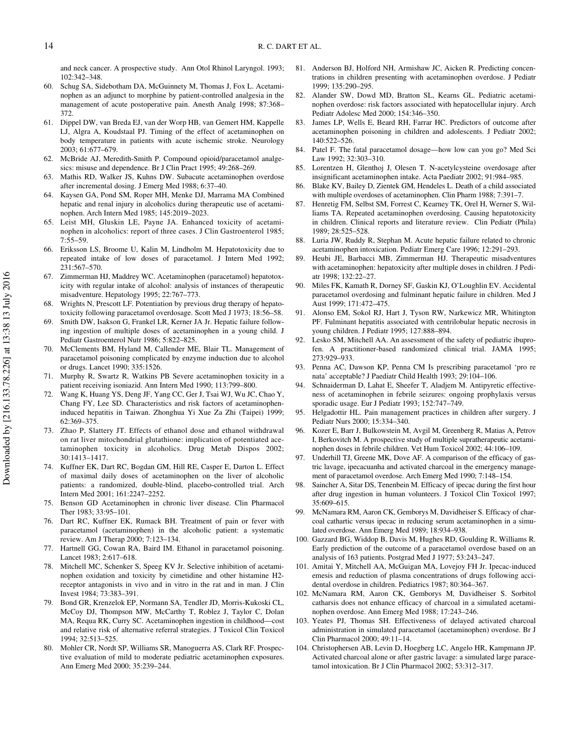Downloaded by [216.133.78.226] at 13:38 13 July 2016 Downloaded by [216.133.78.226] at 13:38 13 July 2016 and neck cancer. A prospective study. Ann Otol Rhinol Laryngol. 1993; 102:342–348.

- 60. Schug SA, Sidebotham DA, McGuinnety M, Thomas J, Fox L. Acetaminophen as an adjunct to morphine by patient-controlled analgesia in the management of acute postoperative pain. Anesth Analg 1998; 87:368– 372.
- 61. Dippel DW, van Breda EJ, van der Worp HB, van Gemert HM, Kappelle LJ, Algra A, Koudstaal PJ. Timing of the effect of acetaminophen on body temperature in patients with acute ischemic stroke. Neurology 2003; 61:677–679.
- 62. McBride AJ, Meredith-Smith P. Compound opioid/paracetamol analgesics: misuse and dependence. Br J Clin Pract 1995; 49:268–269.
- 63. Mathis RD, Walker JS, Kuhns DW. Subacute acetaminophen overdose after incremental dosing. J Emerg Med 1988; 6:37–40.
- 64. Kaysen GA, Pond SM, Roper MH, Menke DJ, Marrama MA Combined hepatic and renal injury in alcoholics during therapeutic use of acetaminophen. Arch Intern Med 1985; 145:2019–2023.
- 65. Leist MH, Gluskin LE, Payne JA. Enhanced toxicity of acetaminophen in alcoholics: report of three cases. J Clin Gastroenterol 1985; 7:55–59.
- 66. Eriksson LS, Broome U, Kalin M, Lindholm M. Hepatotoxicity due to repeated intake of low doses of paracetamol. J Intern Med 1992; 231:567–570.
- Zimmerman HJ, Maddrey WC. Acetaminophen (paracetamol) hepatotoxicity with regular intake of alcohol: analysis of instances of therapeutic misadventure. Hepatology 1995; 22:767–773.
- 68. Wrights N, Prescott LF. Potentiation by previous drug therapy of hepatotoxicity following paracetamol overdosage. Scott Med J 1973; 18:56–58.
- 69. Smith DW, Isakson G, Frankel LR, Kerner JA Jr. Hepatic failure following ingestion of multiple doses of acetaminophen in a young child. J Pediatr Gastroenterol Nutr 1986; 5:822–825.
- McClements BM, Hyland M, Callender ME, Blair TL. Management of paracetamol poisoning complicated by enzyme induction due to alcohol or drugs. Lancet 1990; 335:1526.
- 71. Murphy R, Swartz R, Watkins PB Severe acetaminophen toxicity in a patient receiving isoniazid. Ann Intern Med 1990; 113:799–800.
- 72. Wang K, Huang YS, Deng JF, Yang CC, Ger J, Tsai WJ, Wu JC, Chao Y, Chang FY, Lee SD. Characteristics and risk factors of acetaminopheninduced hepatitis in Taiwan. Zhonghua Yi Xue Za Zhi (Taipei) 1999; 62:369–375.
- 73. Zhao P, Slattery JT. Effects of ethanol dose and ethanol withdrawal on rat liver mitochondrial glutathione: implication of potentiated acetaminophen toxicity in alcoholics. Drug Metab Dispos 2002; 30:1413–1417.
- 74. Kuffner EK, Dart RC, Bogdan GM, Hill RE, Casper E, Darton L. Effect of maximal daily doses of acetaminophen on the liver of alcoholic patients: a randomized, double-blind, placebo-controlled trial. Arch Intern Med 2001; 161:2247–2252.
- 75. Benson GD Acetaminophen in chronic liver disease. Clin Pharmacol Ther 1983; 33:95–101.
- 76. Dart RC, Kuffner EK, Rumack BH. Treatment of pain or fever with paracetamol (acetaminophen) in the alcoholic patient: a systematic review. Am J Therap 2000; 7:123–134.
- Hartnell GG, Cowan RA, Baird IM. Ethanol in paracetamol poisoning. Lancet 1983; 2:617–618.
- 78. Mitchell MC, Schenker S, Speeg KV Jr. Selective inhibition of acetaminophen oxidation and toxicity by cimetidine and other histamine H2 receptor antagonists in vivo and in vitro in the rat and in man. J Clin Invest 1984; 73:383–391.
- 79. Bond GR, Krenzelok EP, Normann SA, Tendler JD, Morris-Kukoski CL, McCoy DJ, Thompson MW, McCarthy T, Roblez J, Taylor C, Dolan MA, Requa RK, Curry SC. Acetaminophen ingestion in childhood—cost and relative risk of alternative referral strategies. J Toxicol Clin Toxicol 1994; 32:513–525.
- 80. Mohler CR, Nordt SP, Williams SR, Manoguerra AS, Clark RF. Prospective evaluation of mild to moderate pediatric acetaminophen exposures. Ann Emerg Med 2000; 35:239–244.
- 81. Anderson BJ, Holford NH, Armishaw JC, Aicken R. Predicting concentrations in children presenting with acetaminophen overdose. J Pediatr 1999; 135:290–295.
- 82. Alander SW, Dowd MD, Bratton SL, Kearns GL. Pediatric acetaminophen overdose: risk factors associated with hepatocellular injury. Arch Pediatr Adolesc Med 2000; 154:346–350.
- 83. James LP, Wells E, Beard RH, Farrar HC. Predictors of outcome after acetaminophen poisoning in children and adolescents. J Pediatr 2002; 140:522–526.
- 84. Patel F. The fatal paracetamol dosage—how low can you go? Med Sci Law 1992; 32:303–310.
- 85. Lorentzen H, Glenthoj J, Olesen T. N-acetylcysteine overdosage after insignificant acetaminophen intake. Acta Paediatr 2002; 91:984–985.
- 86. Blake KV, Bailey D, Zientek GM, Hendeles L. Death of a child associated with multiple overdoses of acetaminophen. Clin Pharm 1988; 7:391–7.
- 87. Henretig FM, Selbst SM, Forrest C, Kearney TK, Orel H, Werner S, Williams TA. Repeated acetaminophen overdosing. Causing hepatotoxicity in children. Clinical reports and literature review. Clin Pediatr (Phila) 1989; 28:525–528.
- 88. Luria JW, Ruddy R, Stephan M. Acute hepatic failure related to chronic acetaminophen intoxication. Pediatr Emerg Care 1996; 12:291–293.
- 89. Heubi JE, Barbacci MB, Zimmerman HJ. Therapeutic misadventures with acetaminophen: hepatoxicity after multiple doses in children. J Pediatr 1998; 132:22–27.
- 90. Miles FK, Kamath R, Dorney SF, Gaskin KJ, O'Loughlin EV. Accidental paracetamol overdosing and fulminant hepatic failure in children. Med J Aust 1999; 171:472–475.
- 91. Alonso EM, Sokol RJ, Hart J, Tyson RW, Narkewicz MR, Whitington PF. Fulminant hepatitis associated with centrilobular hepatic necrosis in young children. J Pediatr 1995; 127:888–894.
- 92. Lesko SM, Mitchell AA. An assessment of the safety of pediatric ibuprofen. A practitioner-based randomized clinical trial. JAMA 1995; 273:929–933.
- 93. Penna AC, Dawson KP, Penna CM Is prescribing paracetamol 'pro re nata' acceptable? J Paediatr Child Health 1993; 29:104–106.
- 94. Schnaiderman D, Lahat E, Sheefer T, Aladjem M. Antipyretic effectiveness of acetaminophen in febrile seizures: ongoing prophylaxis versus sporadic usage. Eur J Pediatr 1993; 152:747–749.
- 95. Helgadottir HL. Pain management practices in children after surgery. J Pediatr Nurs 2000; 15:334–340.
- 96. Kozer E, Barr J, Bulkowstein M, Avgil M, Greenberg R, Matias A, Petrov I, Berkovitch M. A prospective study of multiple supratherapeutic acetaminophen doses in febrile children. Vet Hum Toxicol 2002; 44:106–109.
- 97. Underhill TJ, Greene MK, Dove AF. A comparison of the efficacy of gastric lavage, ipecacuanha and activated charcoal in the emergency management of paracetamol overdose. Arch Emerg Med 1990; 7:148–154.
- 98. Saincher A, Sitar DS, Tenenbein M. Efficacy of ipecac during the first hour after drug ingestion in human volunteers. J Toxicol Clin Toxicol 1997; 35:609–615.
- 99. McNamara RM, Aaron CK, Gemborys M, Davidheiser S. Efficacy of charcoal cathartic versus ipecac in reducing serum acetaminophen in a simulated overdose. Ann Emerg Med 1989; 18:934–938.
- 100. Gazzard BG, Widdop B, Davis M, Hughes RD, Goulding R, Williams R. Early prediction of the outcome of a paracetamol overdose based on an analysis of 163 patients. Postgrad Med J 1977; 53:243–247.
- 101. Amitai Y, Mitchell AA, McGuigan MA, Lovejoy FH Jr. Ipecac-induced emesis and reduction of plasma concentrations of drugs following accidental overdose in children. Pediatrics 1987; 80:364–367.
- 102. McNamara RM, Aaron CK, Gemborys M, Davidheiser S. Sorbitol catharsis does not enhance efficacy of charcoal in a simulated acetaminophen overdose. Ann Emerg Med 1988; 17:243–246.
- 103. Yeates PJ, Thomas SH. Effectiveness of delayed activated charcoal administration in simulated paracetamol (acetaminophen) overdose. Br J Clin Pharmacol 2000; 49:11–14.
- 104. Christophersen AB, Levin D, Hoegberg LC, Angelo HR, Kampmann JP. Activated charcoal alone or after gastric lavage: a simulated large paracetamol intoxication. Br J Clin Pharmacol 2002; 53:312–317.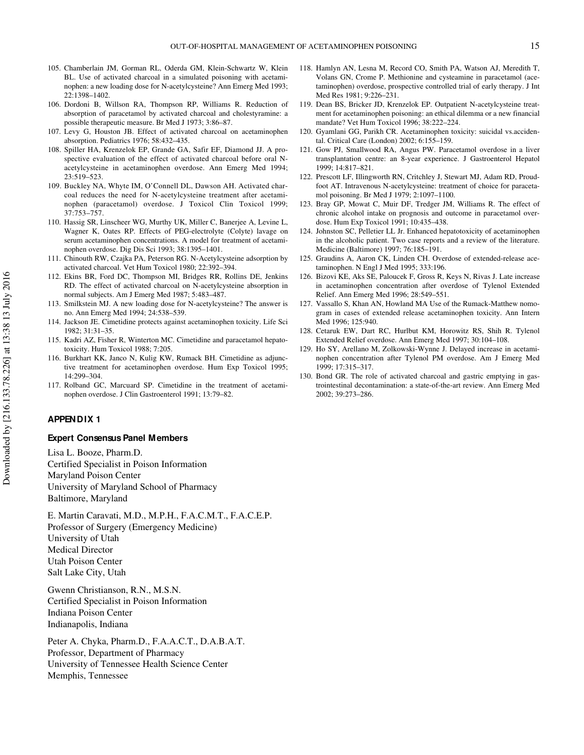- 105. Chamberlain JM, Gorman RL, Oderda GM, Klein-Schwartz W, Klein BL. Use of activated charcoal in a simulated poisoning with acetaminophen: a new loading dose for N-acetylcysteine? Ann Emerg Med 1993; 22:1398–1402.
- 106. Dordoni B, Willson RA, Thompson RP, Williams R. Reduction of absorption of paracetamol by activated charcoal and cholestyramine: a possible therapeutic measure. Br Med J 1973; 3:86–87.
- 107. Levy G, Houston JB. Effect of activated charcoal on acetaminophen absorption. Pediatrics 1976; 58:432–435.
- 108. Spiller HA, Krenzelok EP, Grande GA, Safir EF, Diamond JJ. A prospective evaluation of the effect of activated charcoal before oral Nacetylcysteine in acetaminophen overdose. Ann Emerg Med 1994; 23:519–523.
- 109. Buckley NA, Whyte IM, O'Connell DL, Dawson AH. Activated charcoal reduces the need for N-acetylcysteine treatment after acetaminophen (paracetamol) overdose. J Toxicol Clin Toxicol 1999; 37:753–757.
- 110. Hassig SR, Linscheer WG, Murthy UK, Miller C, Banerjee A, Levine L, Wagner K, Oates RP. Effects of PEG-electrolyte (Colyte) lavage on serum acetaminophen concentrations. A model for treatment of acetaminophen overdose. Dig Dis Sci 1993; 38:1395–1401.
- 111. Chinouth RW, Czajka PA, Peterson RG. N-Acetylcysteine adsorption by activated charcoal. Vet Hum Toxicol 1980; 22:392–394.
- 112. Ekins BR, Ford DC, Thompson MI, Bridges RR, Rollins DE, Jenkins RD. The effect of activated charcoal on N-acetylcysteine absorption in normal subjects. Am J Emerg Med 1987; 5:483–487.
- 113. Smilkstein MJ. A new loading dose for N-acetylcysteine? The answer is no. Ann Emerg Med 1994; 24:538–539.
- 114. Jackson JE. Cimetidine protects against acetaminophen toxicity. Life Sci 1982; 31:31–35.
- 115. Kadri AZ, Fisher R, Winterton MC. Cimetidine and paracetamol hepatotoxicity. Hum Toxicol 1988; 7:205.
- 116. Burkhart KK, Janco N, Kulig KW, Rumack BH. Cimetidine as adjunctive treatment for acetaminophen overdose. Hum Exp Toxicol 1995; 14:299–304.
- 117. Rolband GC, Marcuard SP. Cimetidine in the treatment of acetaminophen overdose. J Clin Gastroenterol 1991; 13:79–82.

#### **APPENDIX 1**

#### **Expert Consensus Panel Members**

Lisa L. Booze, Pharm.D. Certified Specialist in Poison Information Maryland Poison Center University of Maryland School of Pharmacy Baltimore, Maryland

E. Martin Caravati, M.D., M.P.H., F.A.C.M.T., F.A.C.E.P. Professor of Surgery (Emergency Medicine) University of Utah Medical Director Utah Poison Center Salt Lake City, Utah

Gwenn Christianson, R.N., M.S.N. Certified Specialist in Poison Information Indiana Poison Center Indianapolis, Indiana

Peter A. Chyka, Pharm.D., F.A.A.C.T., D.A.B.A.T. Professor, Department of Pharmacy University of Tennessee Health Science Center Memphis, Tennessee

- 118. Hamlyn AN, Lesna M, Record CO, Smith PA, Watson AJ, Meredith T, Volans GN, Crome P. Methionine and cysteamine in paracetamol (acetaminophen) overdose, prospective controlled trial of early therapy. J Int Med Res 1981; 9:226–231.
- 119. Dean BS, Bricker JD, Krenzelok EP. Outpatient N-acetylcysteine treatment for acetaminophen poisoning: an ethical dilemma or a new financial mandate? Vet Hum Toxicol 1996; 38:222–224.
- 120. Gyamlani GG, Parikh CR. Acetaminophen toxicity: suicidal vs.accidental. Critical Care (London) 2002; 6:155–159.
- 121. Gow PJ, Smallwood RA, Angus PW. Paracetamol overdose in a liver transplantation centre: an 8-year experience. J Gastroenterol Hepatol 1999; 14:817–821.
- 122. Prescott LF, Illingworth RN, Critchley J, Stewart MJ, Adam RD, Proudfoot AT. Intravenous N-acetylcysteine: treatment of choice for paracetamol poisoning. Br Med J 1979; 2:1097–1100.
- 123. Bray GP, Mowat C, Muir DF, Tredger JM, Williams R. The effect of chronic alcohol intake on prognosis and outcome in paracetamol overdose. Hum Exp Toxicol 1991; 10:435–438.
- 124. Johnston SC, Pelletier LL Jr. Enhanced hepatotoxicity of acetaminophen in the alcoholic patient. Two case reports and a review of the literature. Medicine (Baltimore) 1997; 76:185–191.
- 125. Graudins A, Aaron CK, Linden CH. Overdose of extended-release acetaminophen. N Engl J Med 1995; 333:196.
- 126. Bizovi KE, Aks SE, Paloucek F, Gross R, Keys N, Rivas J. Late increase in acetaminophen concentration after overdose of Tylenol Extended Relief. Ann Emerg Med 1996; 28:549–551.
- 127. Vassallo S, Khan AN, Howland MA Use of the Rumack-Matthew nomogram in cases of extended release acetaminophen toxicity. Ann Intern Med 1996; 125:940.
- 128. Cetaruk EW, Dart RC, Hurlbut KM, Horowitz RS, Shih R. Tylenol Extended Relief overdose. Ann Emerg Med 1997; 30:104–108.
- 129. Ho SY, Arellano M, Zolkowski-Wynne J. Delayed increase in acetaminophen concentration after Tylenol PM overdose. Am J Emerg Med 1999; 17:315–317.
- 130. Bond GR. The role of activated charcoal and gastric emptying in gastrointestinal decontamination: a state-of-the-art review. Ann Emerg Med 2002; 39:273–286.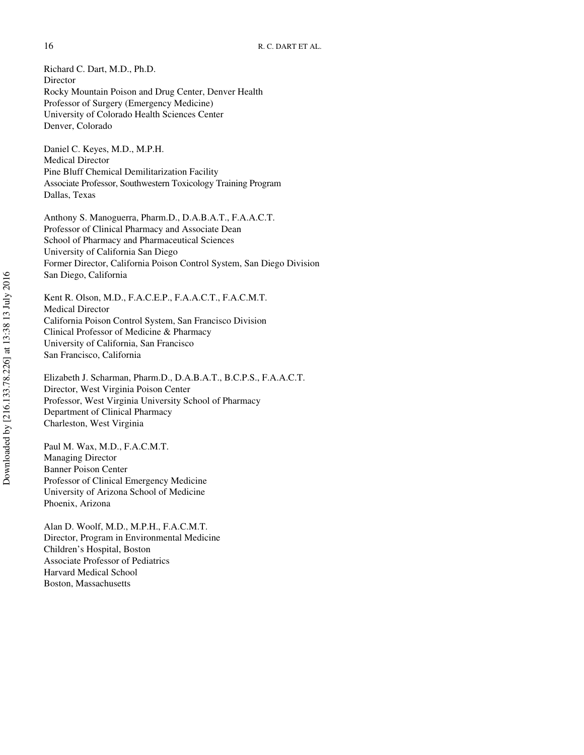Richard C. Dart, M.D., Ph.D. Director Rocky Mountain Poison and Drug Center, Denver Health Professor of Surgery (Emergency Medicine) University of Colorado Health Sciences Center Denver, Colorado

Daniel C. Keyes, M.D., M.P.H. Medical Director Pine Bluff Chemical Demilitarization Facility Associate Professor, Southwestern Toxicology Training Program Dallas, Texas

Anthony S. Manoguerra, Pharm.D., D.A.B.A.T., F.A.A.C.T. Professor of Clinical Pharmacy and Associate Dean School of Pharmacy and Pharmaceutical Sciences University of California San Diego Former Director, California Poison Control System, San Diego Division San Diego, California

Kent R. Olson, M.D., F.A.C.E.P., F.A.A.C.T., F.A.C.M.T. Medical Director California Poison Control System, San Francisco Division Clinical Professor of Medicine & Pharmacy University of California, San Francisco San Francisco, California

Elizabeth J. Scharman, Pharm.D., D.A.B.A.T., B.C.P.S., F.A.A.C.T. Director, West Virginia Poison Center Professor, West Virginia University School of Pharmacy Department of Clinical Pharmacy Charleston, West Virginia

Paul M. Wax, M.D., F.A.C.M.T. Managing Director Banner Poison Center Professor of Clinical Emergency Medicine University of Arizona School of Medicine Phoenix, Arizona

Alan D. Woolf, M.D., M.P.H., F.A.C.M.T. Director, Program in Environmental Medicine Children's Hospital, Boston Associate Professor of Pediatrics Harvard Medical School Boston, Massachusetts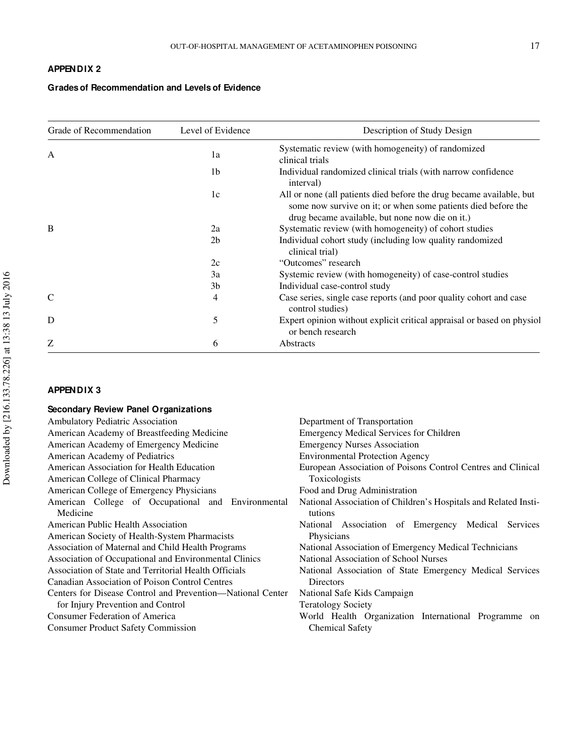# **APPENDIX 2**

# **Grades of Recommendation and Levels of Evidence**

| Grade of Recommendation | Level of Evidence | Description of Study Design                                                                                                                                                              |
|-------------------------|-------------------|------------------------------------------------------------------------------------------------------------------------------------------------------------------------------------------|
| A                       | 1a                | Systematic review (with homogeneity) of randomized<br>clinical trials                                                                                                                    |
|                         | 1b                | Individual randomized clinical trials (with narrow confidence<br>interval)                                                                                                               |
|                         | 1c                | All or none (all patients died before the drug became available, but<br>some now survive on it; or when some patients died before the<br>drug became available, but none now die on it.) |
| B                       | 2a                | Systematic review (with homogeneity) of cohort studies                                                                                                                                   |
|                         | 2 <sub>b</sub>    | Individual cohort study (including low quality randomized<br>clinical trial)                                                                                                             |
|                         | 2c                | "Outcomes" research                                                                                                                                                                      |
|                         | 3a                | Systemic review (with homogeneity) of case-control studies                                                                                                                               |
|                         | 3 <sub>b</sub>    | Individual case-control study                                                                                                                                                            |
|                         | 4                 | Case series, single case reports (and poor quality cohort and case<br>control studies)                                                                                                   |
| D                       | 5                 | Expert opinion without explicit critical appraisal or based on physiol<br>or bench research                                                                                              |
| Z                       | 6                 | Abstracts                                                                                                                                                                                |

# **APPENDIX 3**

| Secondary Review Panel Organizations                       |                                                                 |
|------------------------------------------------------------|-----------------------------------------------------------------|
| Ambulatory Pediatric Association                           | Department of Transportation                                    |
| American Academy of Breastfeeding Medicine                 | <b>Emergency Medical Services for Children</b>                  |
| American Academy of Emergency Medicine                     | <b>Emergency Nurses Association</b>                             |
| American Academy of Pediatrics                             | <b>Environmental Protection Agency</b>                          |
| American Association for Health Education                  | European Association of Poisons Control Centres and Clinical    |
| American College of Clinical Pharmacy                      | Toxicologists                                                   |
| American College of Emergency Physicians                   | Food and Drug Administration                                    |
| American College of Occupational and Environmental         | National Association of Children's Hospitals and Related Insti- |
| Medicine                                                   | tutions                                                         |
| American Public Health Association                         | National Association of Emergency Medical<br>Services           |
| American Society of Health-System Pharmacists              | Physicians                                                      |
| Association of Maternal and Child Health Programs          | National Association of Emergency Medical Technicians           |
| Association of Occupational and Environmental Clinics      | National Association of School Nurses                           |
| Association of State and Territorial Health Officials      | National Association of State Emergency Medical Services        |
| Canadian Association of Poison Control Centres             | <b>Directors</b>                                                |
| Centers for Disease Control and Prevention—National Center | National Safe Kids Campaign                                     |
| for Injury Prevention and Control                          | <b>Teratology Society</b>                                       |
| Consumer Federation of America                             | World Health Organization International Programme on            |
| <b>Consumer Product Safety Commission</b>                  | <b>Chemical Safety</b>                                          |
|                                                            |                                                                 |